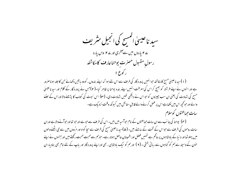سید ناعیسیٰ المسح کی انجیل مثر یف ے **۲** یاروں میں سے آخری اور ے ۲ واں یارہ رسول مقبول حصرت يوحناعارف كامكاشفه (۱)سید ناعیسیٰ مسح کامکاشفہ حوانہیں پرورد گار کی طرف سے اس لئے ہوا کہ اپنے بندوں ، کووہ باتیں دکھائے حن کا جلد ہوناصرور ہے اور انہوں نے اپنے فرشتہ کو بھیج کر اس کی معرفت انہیں اپنے بندہ یوحنا پر ظاہر کیا۔(۲)جس نے پرورد گار کے کلام اور سید ناعیسیٰ مسیح کی شہادت کی یعنی ان سب حبیروں کو حبواس نے دیکھی تھیں شہادت دی۔ (۳) اس نبوت کی کتاب کا پڑھنے والا اوراس کے سننے والے اور حو کچھ اس میں لکھاہے اس پر عمل کرنے والے قابل ستائش ہیں کیونکہ وقت نزدیک ہے۔ سات حماعتوں کوسلام ( ۴ ) یوحنا کی جانب سے ان سات حماعتوں کے نام حوآسیہ میں بیں۔ اس کی طرف سے حوہے اور حبو تھا اور حبوآنے والا ہے اوران سات روحوں کی طرف سے حبواس کے تخت کے سامنے بیں۔ ( ۵ )سید ناعیسیٰ مسح کی طرف سے سجا گواہ اور مرُ دوں میں سے حِی اٹھنے والوں میں پہلوٹھا اور د نبا کے بادشاہوں پر حاکم ہے تہیں فصل اوراطمینان حاصل ہوتارہے۔حوہم سے محبت محبت رکھتے بیں اورحسوں نے اپنے خون کے وسیلہ سےہم کو گناہوں سے رہائی بخشی - ( ۲ ) اورہم کو ایک بادشاہی ، بھی اوراپنے پرورد گار اور باپ کے لئے امام بھی بنادیا-ان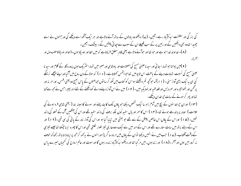کی بزر گی اور سلطنت ایڈالآباد رہے۔آمین۔ (ے) دیکھووہ یادلوں کے ساتھ آنے والاہے اور ہر ایک آنکھ اسے دیکھے گی اورجنهوں نے اسے چھیدا تھاوہ بھی دیکھیں گےاور زمین پر کے سب قبیلے ان کے سبب سے جیا تی پیٹیں گے۔ بیشک - آمین-( A )- خداوند خدا حبو ہے اور حبو تھا اور حبوآنے والا ہے یعنی قادر مطلق فرماتاہے کہ میں الفا اور اومیگا ہوں۔(الفااور اومیگا کامطلب اول اور سمخر)۔

( ۹ )میں یوحنا حو تہارا سا ئی اور سید ناعیسیٰ مسح کی مصیبت اور یادشاسی اور صبیر میں تہارا سثر یک ہوں پرورد گار کے کلام اور سید نا عیسیٰ مسح کی نسبت شہادت دینے کے باعث اس ٹاپومیں تعاجو پشمس کھلاتاہے۔ ( • ۱ ) کہ مولا کے دن روح میں آگیااوراپنے پیچھے نرسنگے کی سی یہ ایک بڑی آواز سنی ۔ (۱۱) کہ حوکچھ تم دیکھتے ہواس کو کتاب میں لکھ کرسا توں حماعتوں کے پاس بھیج دو یعنی افس، اورسمر نہ اور پر <sup>تم</sup>ن اور تھوا تیرہ اور سمردیس اور فلدلفیہ اور لودیکیہ میں۔ ( ۲ ا ) میں نے اس آواز دینے والے کودیکھنے کے لئے منہ پھیراحس نے مح<sub>ص</sub>ت کہا تھااور بھر کرسونے کے سات حمراغدان دیکھیے۔

(۱۳) اوران حجراعدا نوں کے بیچ میں آدم زاد سا ایک شخص دیکھا حو یاؤں تک کا جامہ پہنے اور سونے کا سینہ بند ( یعنی شاہی فرد ہونے کی علامت ) سینہ پر با ندھے ہوئے تھا-( ۱ ۴ ) اس کا سمر اور بال سفید اُون بلکہ برف کی ما نند سفید تھے اوراس کی آنکھیں گ کے شعلہ کی ما نند تھیں۔ ( ھ ا ) اوراس کے یاؤں اس خالص پیتل کے سے تھے جو بھٹی میں تیا ما گیا ہو اوراس کی آواز زور کے یافی کی سی تھی ۔( ۱ ا ) اور اس کے دہنے باتھ میں سات ستارے تھے اور اس کے منہ میں سے ایک دودھاری تیز تلوار لکلتی تھی اوراس کا چھرہ ایسا جمکتا تھا جیسے تیزی کے وقت آفتاب۔ (ے ۱ ) حب میں نے انہیں دیکھا توان کے پاؤں میں مر دہ سا گر پڑااورانہوں نے بیرکہہ کرمجھ پر اپنا دہنا باتھ رکھا کہ خوف نہ کرو، میں اول اور آخر ۔ ( ۸ ) ) اور زندہوں، میں مر گیا تھا اور دیکھوا ہڈالاآباد زندہ رہوں گا اور موت اور عالم ارواح کی کنجیاں میرے پاس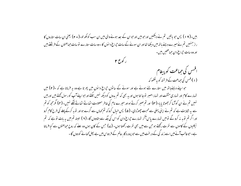بیں۔( ۱۹) پس جو پاتیں تم نے دیکھیں اورحو بیں اورحوان کے بعد ہونے والی بیں ان سب کولکھ لو۔( ۲۰) یعنی ان سات ستاروں کا راز جنہیں تم نے میرے دہنے ہاتھ میں دیکھا تھااور ان سونے کے سات حجراع دانوں کا-وہ سات ستارے توسات حماعتوں کے فرشتے ہیں اور وہ سات حمراغ دان حمائحتیں، ہیں۔

ر کوع ۲

افسس کی حماعت کو پیغام (۱)افس کی حماعت کے فرشتہ کو یہ لکھو کہ

حو اپنے دہنے ہاتھ میں ستارے لئے ہوئے ہے اور سونے کے ساتوں حیراغ دانوں میں پھرتا ہے وہ یہ فرماتا ہے کہ ۔(۲) میں تہارے کام اور تہاری مشقت اور تہاراصبر توجا نتا ہوں اور یہ بھی کہ تم بدوں کو دیکھ نہیں سکتے اورحواپنے آپ کو رسول کھتے ہیں اور ہیں نہیں تم نے ان کوآزما کر جھوٹا یا یا-(۳) اور تم صبر کرتے ہواور میرے نام کی خاطر مصیبت اٹھاتے اٹھاتے تھکے نہیں-(۴) مگرمجھ کو تم سے یہ شکایت ہے کہ تم نے اپنی پہلی سے محبت چھوڑدی۔ (۵) پس خیال کروکہ تم <sub>ک</sub>ماں سے گرے ہواور نوبہ کرکے پہلے کی طرح کام کرو اورا گر تم نوبہ نہ کروگے نومیں تہارے پاس آگر تہارے حجراغ دان کو اس کی جگہ سے ہٹادوں گا- (۲ ) البتہ تم میں یہ بات نوہے کہ تم نیکلیوں کے کاموں سے نفرت رکھتے ہو حن سے میں بھی نفرت رکھتا ہوں۔ ( پے) حبی کے کان ہوں وہ سنے کہ روح حماعتوں سے کیا فرماتا ہے۔حبوغالب آئے میں اسے زندگی کے درخت میں سے حبو پرورد گار عالم کے فر دوس میں ہے پھل کھانے کو دوں گا -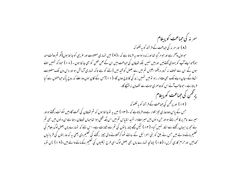سمرنه کی حِماعت کو پیغام (۸) اورسمر نہ کی حماعت کے فرشتہ کو یہ لکھو کہ حبواول وآخر ہے اورحبو مر گیا تھا اورز ندہ ہوا وہ یہ فرماتا ہے کہ ۔( ۹ ) میں تہاری مصیبت اور عریبی کو جا نتا ہوں(مگر تم دولت مند ہو)حواینے آپ کو یہودی کھتےمیں اور ہیں نہیں بلکہ شیطان کی حماعت بیں ان کے لعن طعن کو بھی جا نتا ہوں ۔ ( • ۱ ) حود کھ تہمیں سے ہوں گے ان سے خوف نہ کرو، دیکھو ابلیس تم میں سے بعض کو قید میں ڈالنے کو ہے تاکہ تہاری آزمائش ہو اور دیں دن تک مصيبت اٹھاؤگے-جان دینے تک بھی وفادار رہو تومیں تہیں زند گی کا تاج دوں گا-(۱۱)جس کے کان ہوں وہ سنے کہ روح پاک حماعتوں سے کیا فرماتاہے۔حوغالب آئےاس کو دوسمری موت سے نقصان نہ بہنیجے گا۔ پرځمن کې حماعت کو پيغام (۱۲) اور پرٹمن کی حماعت کے فرشتہ کو یہ لکھو کہ جس کے پاس دودھاری تیز تلوار ہے وہ فرماتاہے کہ -(۱۳) میں یہ نوجا نتا ہوں کہ تم شیطان کی تخت گاہ میں سکونت رکھتے ہواور میرے نام پر قائم رہتے ہواور حن دیوں میں میراوفادار شہید انتیاس تم میں اس جگہ قتل ہوا تعاجہاں شیطان رہتا ہے ان دیوں میں بھی تم نے مجھ پر ایمان رکھنے سے الکار نہیں کیا۔ ( ۱ ا ) لیکن مجھے چند یا توں کی تم سے شکایت ہے۔ اس لئے کہ تہارے ہاں بعض لوگ بلعام کی تعلیم ماننے والے ہیں جس نے بلق کو بنی اسمرائیل کے سامنے ٹھو کر کھلانے والی چیز رکھنے کی تعلیم دی یعنی ہہ کہ وہ بتوں کی قربا نباں کھائیں اورحرام کاری کریں۔ (۵۱) چنانچہ تہارے ہاں بھی بعض لوگ اسی طرح نیکلیوں کی تعلیم کے ماننے والے ہیں۔(۱۲) پس توبہ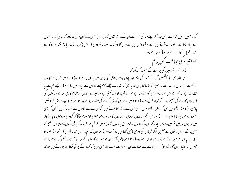کرو۔ نہیں تومیں تہارے پاس جلد آکر اپنے منہ کی تلوار سے ان کے ساتھ لڑوں گا-(ے ا ) جس کے کان ہوں وہ سنے کہ روح پاک حماعتوں سے کیا فرماتا ہے ۔ حبو غالب آئے میں اسے پوشیدہ من میں سے دول گا اورابک سفید پتھر دوں گا- اس پتھر پر ایک نیا نام لکھا ہوا ہوگا جے اس کے بانےوالے کےسوا کوئی مہ جانے گا۔ تھواتیرہ کی حماعت کو پیغام (۸ ) )اور تھواتیرہ کی حماعت کے فرشتہ کو یہ لکھ کہ ابن اللہ جس کی اینھیں گ کے شعلہ کی مانند اور یاؤں خالص پیتل کی مانند بیں یہ فرماتا ہے کہ -( ۹ ا ) میں تہارے کاموں اورمحبت اور ایمان اور خدمت اور صبر کو تو جا نتا ہوں اور یہ بھی کہ تہارے پچھلے کام پہلے کاموں سے زیادہ بیں۔( • ۲) پرمجھے تم سے یہ شکایت ہے کہ تم نے اس عورت ایزبل کورہنے دیا ہے حواپنے آپ کو نبیہ بھتی ہے اورمیرے بندوں کو حرام کاری کرنے اور <sup>ب</sup>نتوں کی قربانیاں تھانے کی تعلیم دے کرگھراہ کرتی ہے۔ ( ۲۱ ) میں نے اس کو توبہ کرنے کی مہلت دی مگروہ اپنی حرام کاری سے توبہ کرنا نہیں چاہتی۔ (۲۲) دیکھومیں اس کو بستر پر ڈالتا ہوں اورحواس کے ساتھ زنا کرتے ہیں اگراس کے سے کاموں سے نوبہ نہ کریں نوان کو بڑی مصیبت میں پہنساتاہوں۔ (۲۳) اوراس کے فرزندوں کوجان سے ماروں گا اورسب حماعتوں کومعلوم ہوگا کہ گردوں اور دلوں کاجانچنے والا میں ہی ہوں اور میں تم میں سے ہر ایک کواس کے کاموں کے موافق بدلہ دوں گا-( ۲ م ) گمر تم تھواتیرہ کے باقی لوگوں سے حواس تعلیم کو نہیںمانتے اوران با توں سے جنہیں لوگ شیطان کی گھری باتیں تھتے ہیں ناواقف ہو یہ کہتا ہوں کہ تم پراور بوجھ نہ ڈالوں گا-(۴۵ ) البته حو تمارے پاس ہے میرے آنے تک اس کو تھامے رہو۔(۲ ۲) حوغالب آئے اور حومیرے کاموں کے موافق آخر تک عمل کرے میں اسے

قوموں پر اختیار دوں گا۔ (٢ ۷ ) اور وہ لوہے کے عصا سے ان پر حکومت کرے گا۔حس طرح کہ کمہار کے بر تن چکنا حپور موجاتے ہیں چنانچہ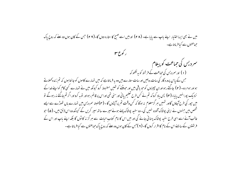میں نے بھی ایسا اختیار اپنے باپ سے پایا ہے۔ (۲۸) اور میں اسے صبح کا ستارہ دوں گا-(۲۹) جس کے کان ہوں وہ سنے کہ روح باک حماعتوں سے کیا فرماتا ہے۔ ر کورع ۳

سمردیس کی حماعت کو پیغام (۱) اور سمردیس کی حماعت کے فرشتہ کو یہ لکھو کہ جس کے پاس پرورد گار کی سات روحیں اور سات ستارے بیں وہ یہ فرماتاہے کہ میں تہارے کاموں کو جا نتا ہوں کہ تم زندہ کھلاتے ہواور ہومر دہ۔ ( ۲ ) جاگتے رہواوران چییزوں کو حبو باقی بیں اور حبومیٹنے کو تھیں مضبوط کرو کیونکہ میں نے تہارے کسی کام کواپنے خدا کے نزدیک پورانهیں پایا۔(۳) پس یاد کرو کہ تم نے کس طرح تعلیم یائی اور سنی تھی اوراس پر قائم رہواور توبہ کرواوراگر تم جاگتے نہ رہوگے تو میں حپور کی طرح آجاؤں گااور تہیں ہر گزمعلوم نہ ہوگا کہ کس وقت تم پرآپڑوں گا۔ (۴)البتہ سمردیس میں تہارے ہاں تھوڑے سے ایسے شخص ہیں جنہوں نے اپنی پوشاک آلودہ نہیں کی۔ وہ سفید پوشاک پہنے ہوئے میرے ساتھ سیر کریں گے کیونکہ وہ اس لائق ہیں۔ ( ۵ ) حبو غالب آئے اسے اسی طرح سفید پوشاک پہنا ئی جائے گی اور میں اس کا نام کتاب حیات سے ہر گز نہ کا ٹوں گا بلکہ اپنے پاپ اور اس کے فرشتوں کے سامنے اس کے نام کا اقرار کروں گا۔ ( ۲ )جس کے کان ہوں وہ سنے کہ روح پاک حماعتوں سے کیا فرماتا ہے ۔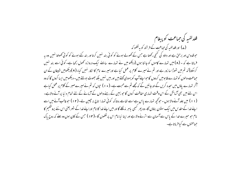فلدلفيه كى حماعت كوپېغام (ے) اور فلدلفیہ کی حماعت کے فرشتہ کو یہ لکھو کہ حوقدوس اور برحن ہے اور داؤد کی کنجی رکھتا ہے جس کے کھولے ہوئے کو کوئی بند نہیں کرتا اور بند کئے ہوئے کو کوئی کھولتا نہیں وہ یہ فرماتا ہے کہ ۔ ( A ) میں تہارے کاموں کو جانتا ہوں (دیکھو میں نے تہارے سامنے ایک دروازہ تھول رکھا ہے۔ کوئی اسے بند نہیں کرسکتا) کہ تم میں تھوڑا سا زور ہے اور تم نے میرے کلام پر عمل کیا ہے اورمیرے نام کا اکار نہیں کیا-( ۹ )دیکھومیں شيطان کے ان حماعت والوں کو تہارے قا بومیں کردوں گاحواسے آپ کو یہودی کھتے ہیں اور بیں نہیں بلکہ جھوٹ بولتے ہیں۔ دیکھومیں ایسا کروں گا کہ وہ آکر تہارے یاؤں میں سحدہ کریں گے اورجانیں گے کہ مجھے تم سے محبت ہے۔ ( • ۱ ) حیوں کہ تم نے میرے صبر کے کلام پر عمل کیاہے اس لئے میں بھی آزمائش کے اس وقت تہاری حفاظت کروں گا حو زمین کے رہنے والوں کے آزمانے کے لئے تمام د نیا پر آنے والاہے۔ (۱۱) میں جلد آنے والا ہوں - حو کچھ تہارے پاس ہے اسے تعامے روتا کہ کوئی تہارا تاج نہ جیبین لے۔ (۱۲) حوغالب آئے میں اسے اپنے خدا کے مقدس میں ایک ستون بناؤں گا- وہ پھر کسجی پاہر بنہ لگلے گا اور میں اپنے خدا کا نام اوراپنے خدا کے شہر یعنی اس نئے پروشکیم کا نام حبو میرے خدا کے پاس سے آسمان سے اترنے والا ہے اور اپنا نیا نام اس پر لکھوں گا -(۱۳) حس کے کان ہوں وہ سنے که روح پاک

حماعتوں سے کیا فرماتا ہے۔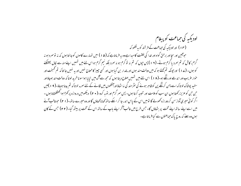لودیکیہ کی حماعت کو پیغام (۱۴) اورلودیکیہ کی حماعت کے فرشتہ کو یہ لکھو کہ حواہمین اور سجا اور برحق گواہ اور خدا کی خلقت کامیداہے وہ یہ فرماتاہے کہ ( ۵ ۱ ) میں تہارے کاموں کوجا نتاہوں کہ نہ توسمرد ہو نہ گرم، کاش کہ تم سمرد یا گرم ہوتے۔ ( ۱ ۱ ) پس حپوں کہ تم نہ تو گرم ہو نہ سمرد بلکہ نیم گرم ہواس لئے میں تہیں اپنےمنه سے کال پھینکنے کو ہوں۔ (ے ۱ ) اور حپونکہ تم کہتے ہو کہ میں دولت مند ہوں اور مالدار بن گیا ہوں اور کسی حپیر کا محتاج نہیں اور یہ نہیں جانتا کہ تم تمہخت اور خوار عریب اور اندھے او رننگے ہو۔( ۱ ۸ ) اس لئے میں تہیں صلاح دیتا ہوں کہ مجھ سے آگ میں تیایا ہواسو ناخر ید لوتا کہ دولت مند ہوجاؤاور سفید پوشاک لو تا کہ اسے پہن کرننگے پن کوظاہر ہونے کی سٹرمند گی نہ اٹھاؤاورآنکھوں میں لگانے کے لئے سمرمہ لو تا کہ تم بینا ہوجاؤ-( ۹ ۱ )میں حن حن کوعزیزر کھتاہوں ان سب کوملامت اور تنبیہ کرتاہوں۔ پس سر گرم اور نوبہ کرو۔( • ۲) دیکھومیں دروازہ پر کھڑاہوا کھٹکھٹاتاہوں ۔ اگر کوئی میری آواز سن کر دورازہ کھولے گا تومیں اس کے پاس اندر جا کر اسکے ساتھ کھاناکھاؤں گا اور وہ میرے ساتھ-( ا ۲) حبوغالب آنے میں اسے اپنے ساتھ اپنے تخت پر بٹھاؤں گا۔ جس طرح میں غالب آکر اپنے ماپ کے ساتھ اس کے تخت پر بیٹھ گیا۔ (۲۲) جس کے کان ہوں وہ سے کہ روح پاک حماعتوں سے کیا فرماتا ہے۔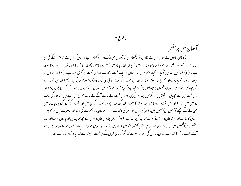آسمان میں پرستش (۱)ان یا نوں کے بعد حبومیں نے لگاہ کی نو دیکھتا ہوں کہ آسمان میں ایک دروازہ کھلاہوا ہے اور حس کومیں نے پیشنتر نرسنگے کی سی آواز سے اپنے ساتھ پاتیں کرتے سنا تھاویپی فرماتے بیں کہ بہاں اوپر آجاؤ۔ میں تہیں وہ پاتیں دکھاؤں گاحن کا ان یا نوں کے بعد ہوناصرور ہے ۔ ( ۲ ) فوراً میں وجد میں آگیا اور کیا دیکھتا ہوں کہ آسمان پر ایک تخت رکھا ہے اوراس تخت پر کوئی بیٹھا ہے۔ (۳) اور حواس پر بیٹھاہے وہ سنگ یشب اور عقیق سامعلوم ہوتاہے اور اس تخت کے گرد زمر د کی سی ایک دھنک معلوم ہوتی ہے۔ (۴) اور اس تخت کے گرد حیوبیس تخت بیں اور ان تختوں پر حیوبیس بزرگ سفید پوشاک پہنے ہوئے بیٹھے بیں اوران کے سمروں پر سونے کے تاج بیں۔( ۵) اور اس تخت میں سے بجلباں اور آوازیں اور گرجیں پیدا ہوتی بیں اور اس تخت کے سامنے آگے کے سات حجراع جل رہے،میں- یہ خدا کی سات روحیں ہیں۔ ( ۲ ) اور اس تخت کے سامنے گویا شیشہ کاسمندر بلور کی ما نند ہے اور تخت کے بیچ میں اور تخت کے گرد اگرد چار جاندار بیں حن کے آگے بیچھے آنکھیں ہی آنکھیں،میں۔ (ے) پہلاجان دار بسر کی ما نند ہے اور دوسر جان دار بچھڑے کی ما نند اور تیسرے جان دار کا جہرہ انسان کا سا ہے اور حیو تھا جان دار اڑتے ہوئے عقاب کی ما نند ہے۔ ( ۸ ) اوران چاروں جان داروں کے حیہ حیہ پر بیں اور چاروں طرف اور اندر ۔<br>سنگھیں ہی آنکھیں بیں اور رات دن بغیر آرام لئے یہ کھتے رہتے ہیں کہ قدوس ، قدوس ، قدوس خداوند خدا قادر مطلق حو تھا اورحو ہے اور حو آنے والا ہے۔ ( ۹ ) اور حب وہ جان دار اس کی تہجید اور عزت اور شکر گزاری کریں گے حبو تخت پر بیٹھا ہے اور ایدالآ باد زندہ رہے گا۔

ر کورع مہ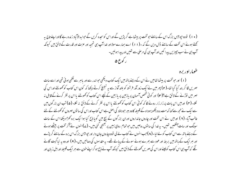( • ۱ ) نووہ حیوبیس بزرگ اس کے سامنے حو تخت پر بیٹھا ہے گرپڑیں گے اوراس کو سحدہ کریں گے حوا مدالاآباد زندہ رہے گااوراپنے تاج بہ کھتے ہوئے اس تخت کے سامنے ڈال دیں گے کہ -(۱۱) اسے ہمارے مولا اور خدا آپ ہی تمجید اور عزت اور قدرت کے لائق ہیں کیونکہ آپ سی نے سب چیپزیں پیدا کیں اور آپ سی کی مرضی سے تھیں اور پیدا ہو ئیں۔ ر کوع ۵

طومار او ریره

(۱) اور حو تخت پر بیٹھا تعامیں نے اس کے دہنے یاتھ میں ایک کتاب دیکھی حواندر سے اور پاہر سے لکھی ہو ئی تھی اوراسے سات مہریں لگا کر بند کیا گیا تھا۔(۲) پھر میں نے ایک زور آور فرشتہ کو بلند آواز سے یہ تبلیخ کرتے دیکھا کہ کون اس کتاب کو کھولنے اوراس کی مہر میں توڑنے کےلائق ہے؟(س) اور کوئی شخص آسمان پر بازمین پر بازمین کے نیچے اس کتاب کو کھولنے یااس پر نظر کرنے کےقابل نہ ئکلا۔ (۴) اورمیں اس بات پر زار زار رونے لگا کہ کوئی اس کتاب کو تھولنے پا اس پر نظر کرنے کے لائق نہ نکلا۔ (۵) تب ان بزر گوں میں سے ایک نے مجھ سے کہا کہ مت رو دیکھو یہوداہ کے قبیلہ کاوہ بسر حبوداؤد کی اصل ہے اس کتاب اوراس کی سا توں مہروں کو کھولنے کے لئے غالب آیا۔ ( ۲ ) اورمیں نے اس تخت اور چاروں جانداروں اوران بزر گوں کے بیچ میں گویا ذبح کیا ہوا ایک برہ کھڑا دیکھا اس کے سات سینگ اور سات آنکھیں تھیں۔ یہ خدا کی ساتوں روحیں بیں حو تمام روئ زمین پر بھیجی گئی بیں۔ (ے)انہوں نے آکر تخت پر بیٹھے ہوئے کے دہنے باتھ سے اس کتاب کو لے لیا۔( ۸)حب انہوں نے کتاب لے لی نووہ چاروں جان دار اور حبوبیس بزرگ اس برہ کے سامنے گر پڑے اور ہر ایک کے ماتھ میں بر بط اور عود سے بھرے ہوئے سونے کے پیالے تھے۔ یہ مقدسوں کی دعائیں بیں۔( ۹ ) اور وہ بہ نیا گیت گانے گئے کہ آپ ہی اس کتاب کولینے اوراس کی مہریں کھولنے کے لائق بیں کیونکہ آپ نے ذبح ہوکراپنے خون سے ہر ایک قبیلہ اوراہل زبان اور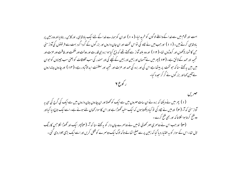امت اور قوم میں سے خدا کے واسطے لوگوں کو خرید لیا-( • ۱ ) اوران کو ہمارے خدا کے لئے ایک بادشاسی ، اور کابن ، بناد بااور وہ زمین پر یادشاہی کرتے ہیں۔ (۱۱) اورجب میں نے لگاہ کی نواس تخت اور ان جان داروں اور بزرگوں کے گرد اگردیبت سے فرشتوں کی آواز سنی حن کا شمار لاکھوں اور کروڑوں تھا۔( ۲ ۱ ) اور وہ بلند آواز سے کہتے تھے کہ ذبح کیا ہوا برہ سی قدرت اور دولت اورحكمت اور طاقت اور عزت اور تہجید اور حمد کے لائق ہے۔ (۱۳) پھر میں نے آسمان اور زمین اور زمین کے نیچے کی اور سمندر کی سب مخلوقات کو یعنی سب چیپزوں کو حبوان میں بیں یہ بھتے سنا کہ حو تخت پر بدیٹھا ہے اس کی اور برہ کی حمد اور عزت اور تہجید اور سلطنت ابدالاآباد رہے۔(۱۴) اور چاروں جانداروں نے آئین کھااور بزر گوں نے گر کرسحدہ کیا۔ ر کورع ۲

مهريں (۱) پھر میں نے دیکھا کہ برہ نے ان سات مہروں میں سے ایک کو تھولااور ان چاروں جان داروں میں سے ایک کی گرج کی سی بہ آواز سنی کہ آ۔ ( ۲ ) اور میں نے نگاہ کی نو کیا دیکھتا ہوں کہ ایک سفید ٹھوڑا ہے اور اس کاسوار کمان لئے ہوئے ہے۔اسے ایک تاج دیا گیااور وہ فتیح کرتا ہوا لکلاتا کہ اور بھی فتیح کرے۔ (۳) اور حب اس نے دوسمری مہر کھولی تو میں نے دوسرے جان دار کو یہ کہتے سنا کہ آ۔ (۴) پھر ایک اور گھوڑا لکلا حس کارنگ

لال تھا۔اس کے سوار کو یہ اختیار دیا گیا کہ زمین پر سے صلح اٹھالے تا کہ لوگ ایک دوسمرے کو قتل کریں اور اسے ایک بڑی تلوار دی گئی ۔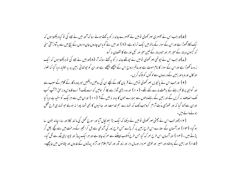(۵)اور *جب اس نے* تیسری مہر کھولی تومیں نے تیسرے جاندار کو بہ کھتے ہوئے سنا کہ آاور میں نے نگاہ کی تو کیا دیکھتا ہوں کہ ایک کالائھوڑا ہے اوراس کے سوار کے باتھ میں ایک ترازو ہے۔ ( ۲ ) اور میں نے گویا ان چاروں جان داروں کے بیچ میں سے یہ آواز آئی سنی کہ گیہوں دینار کے سپر بھر اور حودینار کے تین سپر اور تیل اور مے کا نقصان نہ کرو

(ے)اور جب اس نے جوتھی مہر کھولی تومیں نے جوتھے جاند ار کو یہ ک<sup>ہتے</sup> سنا کہ آ۔ (۸)اورمیں نے نگاہ کی تو دیکھتا ہوں کہ ایک زردساٹھوڑا ہے اوراس کے سوار کا نام موت ہے اورعالم ارواح اس کے پیچھے بیچھے ہے اور ان کو حیوتھائی زمین پر بہ اختیار دیا گیا کہ تلوار اور کال اور و یااور زمین کے در ندوں سے لو گوں کو بلاک کریں۔

( ۹ ) اورحب اس نے پانچویں مہر کھولی تومیں نے قربان گاہ کے نیچے ان کی روحیں دیکھیں جو پرورد گار کے کلام کے سبب سے اور گواہی پر قائم رہنے کے باعث مارے گئے تھے۔ ( • ۱ ) اور و ہ بڑی آواز سے چلا کر بولیں کہ اے مالک! اے قدوس وبرحن ! آپ کب تک انصاف نہ کریں گے اور زمین کے رہنے والوں سے ہمارے خون کا بدلہ نہ لیں گے؟ (۱۱) اوران میں سے ہرایک کوسفید جامہ دیا گیا اوران سے کہا گیا کہ اور تھوڑی مدُت آرام کروجب تک کہ تہارے ہم خدمت اور ہعائیوں کا بھی شمار پورا نہ ہولے جو تہاری طرح قتل ہونےوالے ہیں۔

(۱۲)اورجب اس نے جھٹی مہر کھولی نومیں نے دیکھا کہ ایک بڑا بھونجال آیا اور سورج تھمل کی ما نند کالا اور سارا چاند خون سا ہوگیا۔ (۱۳) اورآسمان کے ستارے اس طرح زمین پر گرپڑے جس طرح زور کی آندھی سے ہل کر انجیر کے درخت میں سے کچے پھل گر پڑتے ہیں ۔ (۱۴) اور آسمان اس طرح سمر ک گیا جس طرح مکتوب اپپیٹنے سے سمرک جاتا ہے اور ہر ایک پہاڑ اور ٹا پو اپنی جگہ سے ٹل گیا۔ (۵۱) اور زمین کے بادشاہ اور امیر اور فوجی سمردار اورمال دار اور زور آور اور تمام علام اور آزاد پہاڑوں کے عاروں اور چٹا نوں میں جاچھپے۔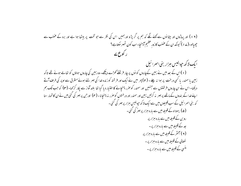(۱۶) اور پہاڑوں اور چٹا نوں سے کھنے لگے کہ ہم پر گر پڑو اورہمیں اس کی نظر سے جو تخت پر بیٹھا ہوا ہے اور برہ کے عضب سے چھپالو۔(ے ا ) کیونکہ ان کے عضب کا زور عظیم آپہنچا۔ اب کون ٹھہر سکتاہے؟ ر کوع کے ا یک لاکھ حیوالیس مبزار بنی اسمرا ئیل (۱)اس کے بعد میں نے زمین کےجاروں کو نوں پر چار فرشتے کھڑے دیکھے۔ وہ زمین کی چاروں ہواؤں کو تعامے ہوئے تھے تاکہ زمین یاسمندر پا کسی درخت پر ہوا نہ چلے۔ (۲) پھر میں نے ایک اور فرشتہ کو زندہ خدا کی مہر لئے ہوئے مشرق سے اوپر کی طرف آتے دیکھا- اس نے ان چاروں فرشتوں سے جنہیں اور سمندر کو صرر پہنچانے کا اختیار دیا گیا تھا بلند آواز سے پکار کرکھا- (۳) کہ جب تک ہم اپنے غدا کے بندوں کے ماتھے پر مہر نہ کرلیں زمین اور سمندر اور درختوں کو صرر نہ پہنچانا - ( مہ) اور حن پر مہر کی گئی میں نے ان کا شمار سنا کہ بنی اسمرائیل کے سب قبہیلوں میں سے ایک لا کھ حیوالیس میزار پر مہر کی گئی ۔ (۵) یہوداہ کے قبیلہ میں سے بارہ ہزار پر مہر کی گئی۔ رو بن کے قبیلہ میں سے مارہ ہزار پر جد کے قبیلہ میں سے مارہ ہزار پر۔ (۲) آمشر کے قبیلہ میں سے مارہ ہزار پر نفتالی کے قبیلہ میں سے مارہ ہزار پر۔ منسی کے قبیلہ میں سے بارہ ہزار پر۔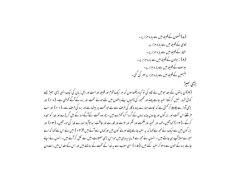(ے)شمعون کے قبیلہ میں سے مارہ ہزار پر -لاوی کے قیبلہ میں سے بارہ ہزار پر اشکار کے قبیلہ میں سے مارہ ہزار پر۔ (۸) ز بولون کے قبیلہ میں سے مارہ ہزار پر۔ یوسٹ کے قبیلہ میں سے بارہ ہزار پر۔ بنیمین کے قبیلہ میں سے مارہ ہزار پر مہر کی گئی۔ برطمي لجصرط ( ۹ )ان یا نوں کے بعد حبومیں نے لگاہ کی نو کیا دیکھتا ہوں کہ ہر ایک قوم اور قبیلہ اورامت اور اہل زبان کی ایک ایسی بڑی بہیڑ جسے کوئی شمار نہیں کرسکتا سفید جامے پہنے اور تھمجور کی ڈالیاں اپنے باتھوں میں لئے ہوئے تخت اور برہ کے آگے تھڑی ہے۔ ( • ۱ ) اور بڑی آواز سے چلاچلا کر کھتی ہے کہ نجات ہمارے پرورد گار کی طرف سے ہے جو تخت پر بیٹھا ہے اور برہ کی طرف سے۔(۱۱) اور سب فرشنے اس تخت اور بزرگوں اور چاروں جانداروں کے گر د اگرد کھڑے ہیں - پھر وہ تخت کےآگے منہ کے بل گر پڑے اور خدا کو سحدہ کرکے ۔(۱۲) کہا آئین۔حمد اور تمجید اورحکمت اور شکر اور عزت اور قدرت اور طاقت ایدالاآباد ہمارے خدا کی ہو۔آئین۔(۱۳) اور بزر گوں میں سے ایک نے مجھ سے کہا کہ یہ سفید جامے پہنے ہوئے کون بیں اور کہاں سے آئے ہیں ؟(۱۴) میں نے اس سے کہا کہ اے میرے مولاآپ ہی جانتے ہیں ۔ انہوں نے مجھ سے فرمایا یہ وہی بیں حواس بڑی مصیبت میں سے لکل کرآئے ہیں۔ انہوں نے اپنے جامے برہ کے حون سے دھو کر سفید کئے ہیں۔(ھ۱) اسی سبب سے بہ خدا کے تخت کے سامنے بیں اور اس کے مقدس میں رات دن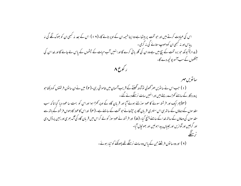اس کی عبادت کرتے ہیں اور حو تخت پر بیٹھا ہے وہ اپنا خیمہ ان کے اوپر تانے گا-(١٧) اس کے بعد نہ کبھی ان کو بھوک لگے گی نہ پیاس اور نہ کسجی ان کودھوپ ستانے گی نہ گرمی ۔ (ے ۱ ) کیونکہ حو برہ تخت کے بیچ میں ہے وہ ان کی گلہ بانی کرے گا اورانہیں آب حیات کے حیثموں کے باس لے حانے گا اور خداان کی سنکھوں کے سب آنسو پونچھ دے گا۔ ر کوع ۸

سا تویں مہر (۱) جب اس نے ساتویں مہر ُتھولی نوآدھ گھنٹے کے قریب آسمان میں غاموشی رہی۔(۲) میں نے ان ساتوں فرشتوں کو دیکھاجو پرورد گار کے سامنے کھڑے رہتے ہیں اور انہیں سات نرسنگے دئے گئے ۔ (۳) پھرایک اور فرشتہ سونے کا عود سوزلئے ہوئے آیا اور قربان گاہ کے اوپر کھڑا ہوا اوراس کو بہت سا عود دیا گیا تاکہ سب مقدسوں کے دعاؤں کے ساتھ ہی اس سنہری قربان گاہ پر حپڑھانے حبو تخت کے سامنے ہے۔ (مہ) اوراس کاعود کا دھواں فرشتہ کے باتھ سے مقدسوں کی دعاؤں کے ساتھ خدا کے سامنے پہنچ گیا۔ ( ۵ ) اور فرشتہ نے عود سوز کو لے کر اس میں قربان گاہ کی آگ بھری اور زمین پر ڈال دی اور گرجیں اور آوازیں اور بجلیاں پیدا ہوئیں اور بھونچال آیا-زسنگه

(۲) اور وہ سا نوں فرشتے حن کے پاس وہ سات نرسنگے تھے پھونکنے کو تیار ہوئے۔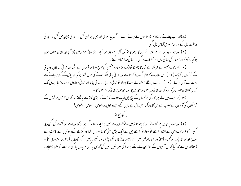(ے)اور حب پہلے نے نرسڈگا پھولکا تو خون ملے ہوئے اولے اور آگ پیدا ہوئی اور زمین پر ڈالی گئی اور تہائی زمین جل گئی اور تہائی درحت جل گئے اور تمام ہری گھاس جل گئی۔ (۸) اور جب دوسرے فرشتہ نے نرسڈگا پھونکا تو گویا آگ سے جلتا ہوا ایک بڑا یہاڑ سمندرمیں ڈالا گیا اور تہائی سمندر خون ہو گیا۔( ۹ ) اور سمندر کی تها ئی جان دار مخلوقات مر گئی اور تها ئی حہاز تیاہ ہوگئے۔ ( • ۱ )اورجب تیسرے فرشتہ نے نرسڈگا پھولکا توایک بڑاستار ہ مشعل کی طرح جلتا ہواآسمان سے ٹوٹا اور تہائی دریاؤں اوریا فی کے چشموں پر آپڑا۔ (۱۱) اس ستارے کا نام ناگ دوناکھلاتا ہے اور نہا ئی پانی ناگ دونے کی طرح کڑوا ہوگیا اور پانی کے کڑواہوجانے سے بہت سے آدمی مرگئے۔(۱۲) اور حب حیوتھے فرشتہ نے نرسڈگا پھولکا نو تہائی سورج اور تہائی چاند اور تہائی ستاروں پرصدمہ بہنچا۔ یہاں تک که ان کا تها ئی حصه تاریک ہوگیا اور تها ئی دن میں روشنی نہ رہی اوراسی طرح تها ئی رات میں بھی۔ (۱۲)اور حب میں نے پھر نگاہ کی نوآسمان کے بیچ میں ایک عقاب کواڑتے اور بڑی آواز سے ہہ کھتے سنا کہ ان تبینوں فرشتوں کے نرسنگوں کی آوازوں کےسبب سے حن کا پھونکنا ابھی باقی ہے زمین کے رہنے والوں پر افسوس۔افسوس۔ افسوس!۔

(۱) اورحب پانچویں فرشتہ نے نرسڈگا پھوٹکا تومیں نےآسمان سے زمین پرایک ستارہ گراہوا دیکھااور اسےاتھا گڑھے کی کنجی دی گئی۔ ( ۲ )اور حب اس نے اتناہ گڑھے کو کھولا تو گڑھے میں سے ایک بڑی بھٹی کا سا دھواں اٹھا اور گڑھے کےدھوئیں کے باعث سے سورج اورہوا تاریک ہو گئی ۔ (۳)اوراس دھوئیں میں سے زمین پر پڑ باں لکل پڑیں اورانہیں زمین کے بچھوؤں کی سی طاقت دی گئی۔ ( ۴)اوران سے کہا گیا کہ ان آدمیوں کے سواحن کے ماتھے پر خدا کی مہر نہیں زمین کی گھاس یا کسی مبرباول یا کسی درخت کو صرر بہنجانا -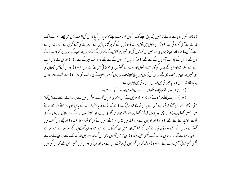(۵)اورانہیں جان سے مارنے کا نہیں بلکہ پانچ مہینے تک لوگوں کواذیت دینے کااختیار دیا گیااوران کی اذیت ایسی تھی جیسے بچھوکے ڈنک مارنے سےآدمی کو ہو تی ہے۔ ( ۲ ) ان د نوں میں آدمی موت ڈھونڈیں گے مگر ہر گزینہ پائیں گے اور مرنے کی آرزو کریں گے اور موت ان سے ہجاگے گی۔ (ے 1 )اوران ٹڈیوں کی صور تیں ان ٹھوڑوں کی سی تھیں حبولڑا ئی کے لئے تیار کئے گئے ہوں اوران کے سمروں پر گو ماسونے کے تاج تھے اوران کے چہرے آدمیوں کے سے تھے۔( ۸) اور مال عور توں کے سے تھے اور دانت ببر کے سے ۔ ( ۹ ) اوران کے پاس لوہے کے سے بکتر تھے اوران کے بروں کی آواز جیسے رتھوں اور بہت سے گھوڑوں کی حولڑائی میں دوڑتے ہوں۔( • ۱ ) اور ان کی دُمیں بچھوؤں کی سی تھیں اوران میں ڈنک بھی تھے اوران کی دُموں میں پانچ مہینے تک آدمیوں کو صرر پہنچانے کی طاقت تھی۔(۱۱) اتفاه گڑھے کا فرشتہ ان پر بادشاہ تھا۔اس کا نام عبرا فی میں ایدون اور یونا فی میں اپلیون ہے۔

( ۱۲ ) پہلاافسوس نوّ ہوجیًا۔ دیکھواس کے بعد دوافسوس اور ہونے والے ہیں ۔

(۱۳) اورحب چھٹے فرشتہ نے نرسڈگا پھولکا تومیں نے اس سنہری قربان گاہ کے سینگوں میں سے حوخدا کے سامنے ہے ایسی آواز سنی۔ (۱۴) کہ اس چھٹے فرشتہ سے جس کے پاس نرسڈگا تھا کوئی کہہ رہا ہے کہ بڑے دریا یعنی فرات کے پاس جوچار فرشنتے بندھے ہوئے بیں انہیں کھول دو۔( ۵ ا ) پس وہ چاروں فرشتے کھول دیئیے گئے حبو خاص گھڑی اور دن اور مہینے اور برس کے لئے تہائی آدمیوں کے مار ڈالنے کو تیار کئے گئے تھے۔(۱۲) اور فوجوں کے سوا شمار میں بیس کروڑتھے۔ میں نے ان کا شمار سنا۔ (۱۷) اورمجھے اس کشف میں گھوڑے اوران کے ایسے سوار دکھا ئی دئے حن کے بکتر آگ اور سنبل اور گندھک کے سے تھے اور ان گھوڑوں کے سمر بسر کے سے سمر تھے اوران کہ منہ سے آگ اور دھواں اور گندھک لُکلتی تھی۔ ( ۸ ا ) ان تبینوں آفتوں یعنی اس آگ اور دھوئیں اور گندھک سے حوان کے منہ سے نکلتی تھی تہائی آدمی مارے گئے ۔ (۹۹) کیونکہ کہ ان ٹھوڑوں کی طاقت ان کے منہ اور ان کی دموں میں تھی۔ اس لئے کہ ان کی دمیں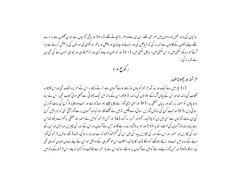سانپوں کی مانند تھیں اور دموں میں سمر بھی تھے۔ ان ہی سے وہ صرر پہنچاتے تھے۔( + ٢) اور ماقی آدمیوں نے حوان آفتوں سے نہ مرے تھے اپنے باتھوں کے کاموں سے توبہ نہ کی کہ شیاطین کی اور سونے اور چاندی اور پیتل اور پتھر اورلکڑی کی مور توں کی پرستش کرنے سے باز آتے حو نہ دیکھ سکتی بیں نہ سن سکتی ہیں۔ نہ چل سکتی بیں۔ ( ۲۱ ) اور حوحون اور جادو گری اور حرام کاری اور حپوری انهوں نے کی تھی ان سے توبہ نہ کی۔



فرشته اورجعوطاطومار

(۱) پھر میں نے ایک اور زور آور فرشتہ کو بادل اوڑھے ہوئے آسمان سے اترتے دیکھا - اس کے سمر پر دھنک تھی اوراس کا چہرہ آفتاب کی ما نند تھا اوراس کے پاؤں آگ کے ستو نوں کی ما نند - ( ۲ )اوراس کے باتھ میں ایک چھوٹی سے تھلی ہو ئی کتاب تھی- اس نے اپنا دہنا پاؤں نو سمندر پر رکھا اور پایاں خشکی پر۔ (۳) اورایسی بڑی آواز سے چلایا جیسے بسر دھاڑتا ہے اور حب وہ چلایا نو گرج کی سات آوازیں سنا ئی دیں۔( مہ) اورحب گرج کی سا توں آوازیں سنا ئی دے چکیں تومیں نے کھنے کاارادہ کیااور آسمان پر سے آواز آتی سنى كه حبو باتيں گرج کی ان سات آوازوں سے سنی بیں ان کو پوشیدہ رکھواور تحریر پنہ کرو۔( ۵ ) اور جس فرشتہ کومیں نے سمندر اورخشکی پرکھڑے دیکھا تھااس نے اپنا دہنا یا تھ آسمان کی طرف اٹھایا۔ ( ۲ ) اور حبوا مدالاآباد زندہ رہے گا اور حس نے آسمان اور اس کے اندر کی چیزیں اور زمین اور اس کے اوپر کی چیزیں اور سمندر اوراس کے اندر کی چیزیں پیدا کی بیں اس کی قسم کھا کر <sub>ک</sub>ہا کہ اب اوردیر نہ ہو گی۔ (ے) بلکہ ساتویں فرشتہ کی آواز دینے کے زمانہ میں جب وہ نرسڈگا پھونکنے کو ہوگا توخدا کا پوشیدہ مطلب اس خوشخبری کے موافق حواس نےاپنے بندوں نبیوں کو دی تھی پوراہوگا۔(۸) اور جس آواز دینےوالے کومیں نے آسمان پر بولتے سنا تھااس نے پھر مجھ سے مخاطب ہو کر کھا کہ جاؤ-اس فرشتہ کے ماتھ میں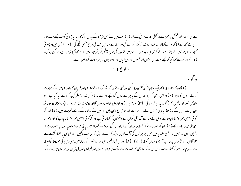سے حبوسمندر اور خشکی پر کھڑاہے وہ کھلی کتاب ہوئی لے لو۔( ۹ ) تب میں نے اس فرشتہ کے پاس حاکر <sub>ک</sub>ہا کہ یہ چھوٹی کتاب مجھے دے دو-اس نے محھ سے کہا کہ لواسے کھالو۔ یہ تہمارا پیٹ تو کڑوا کردے گی مگر تہمارے منہ میں شہد کی طرح میٹھی لگے گی۔ ( م 1 ) پس میں وہ چھوٹی کتاب اس فرشتہ کے باتھ سے لے کر کھاگیا- وہ میرے منہ میں تو شہد کی طرح میٹھی لگی مگر حب میں اسے کھاگیا تو میرا پیٹ کڑواہوگیا-( ۱۱) اورمجھ سے کہا گیا کہ تجھے بہت سی امتوں اور قوموں اوراہل زیان اور یادشاہوں پر پھر نبوت کرناصرور ہے۔ ر کوع ۱۱

دو گواه

(۱)اورمجھے عصا کی ما نند ایک ناپنے کی لکڑی دی گئی اور کسی بے <sub>ک</sub>ہا کہ اٹھ کرخدا کے مقدس اور قریان گاہ اوراس میں کے عبادت کرنے والوں کو ناپو۔( ۲)اور اس صحن کو حو مقدس کے پاہر سے خارج کردیئیے اوراسے نہ ناپو کیونکہ وہ مشر کین کو دے دیا گیا ہے۔ وہ مقدس شہر کو بیالیس مہینے تک پامال کریں گی۔(۳) اورمیں اپنے دو گواہوں کواختیار دوں گااور وہ ٹاٹ اوڑھے ہوئےایک ہزار دوسوساٹھ دن نبوت کریں گے۔(مہ) یہ وہی زیتون کے دو ، درخت اور دو حیراغ دان بیں حوزمین کے خداوند کے سامنے کھڑے بیں۔(ھ) اور اگر کوئی انہیں صرر بہنجاناچاہتاہے نوان کے منہ سےآگ لکل کران کے دشمنوں کو کھاجاتی ہے اوراگر کوئی انہیں صرر بہنجا ناچاہے گا نووہ صرور اسی طرح ماراجائے گا-( ۲ ) ان کواختیار ہے کہ آسمان کو بند کردیں اور ان کی نبوت کے زمانہ میں یا فی نہ برسے اور پانبیوں پراختیار ہے کہ انہیں خون بناڈالیں اورجتنی دفعہ چابیں زمین پر ہر طرح کی آفت لائیں۔(ے) جب وہ اپنی گواہی دے چکیں تووہ حیوان حواتفاہ گڑھےسے لکلے گا ان سے لڑ کر ان پر غالب آئے گا اوران کو مار ڈالے گا۔ ( ۸ ) اوران کی لاشیں اس بڑے شہر کے مازار میں پڑمی رییں گی حوروحا نی اعتبار سے سدوم اورمصر کو کھلاتاہے۔ جہاں ان کے مولا بھی مصلوب ہوئے تھے۔ ( ۹ )اور امتوں اور قبیلوں اورابل زبان اور قوموں میں سے لوگ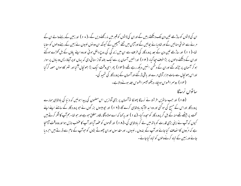ان کی لاشوں کو ساڑھے تین دن تک دیکھتے رہیں گے اوران کی لاشوں کو قسر میں نہ رکھنے دیں گے ۔( • ۱ ) اور زمین کے رہنےوالے ان کے مرنے سے خوشی منائیں گے اور شاد یا نے بچائیں گے اورآبیں میں تحفے بھیجیں گے کیونکہ ان دو نوں نیبیوں نے زمین کے رہنے والوں کو ستایا نفا۔( ۱۱) اور ساڑھے تین دن کے بعد پرورد گار کی طرف سے ان میں زند گی کی روح داخل ہوئی اوروہ اپنے باؤں کے بل کھڑے ہوگئے اوران کے دیکھنے والوں پر بڑا خوف حیا گیا۔ ( ۲ ا ) اورانہیں آسمان پر سے ایک بلند آواز سنائی دی کہ یہاں اوپر آجاؤ- پس وہ بادل پر سوار ہو کر آسمان پر حپڑھ گئے اوران کے دشمن انہیں دیکھ رہے تھے۔(۱۳) پھر اسی وقت ایک بڑا بھونچال آگیا اور شہر کادسواں حصہ گرگیا اوراس بھونچال سے سات ہزار آدمی مرے اور یاقی ڈرگئے اور آسمان کے پرورد گار کی نتمجید کی۔ (۱۴) دوسمراافسوس ہوجکا- دیکھو تیبسراافسوس جلد ہونےوالاہے۔

سا تواں نرسدگا

(۵۱) اور حب ساتویں فرشتہ نے نرسڈگا پھولکا توآسمان پر بڑی آوازیں اس مضمون کی پیدا ہوئیں کہ دنیا کی بادشاہی ہمارے پرورد گار اوراس کے مسح کی ہو گئی اور وہ اید الاآباد یادشاہی کرے گا-(۱۲) اور حپوبیسوں بزر گوں نے حبو پرورد گار کے سامنے اپنے اپنے تخت پر بیٹھے تھےمنہ کے بل گر پرورد گار کوسحدہ کیا۔ (ے ا ) اور یہ کہا کہ اےمولا وآقا ، قادر مطلق حوہےاور حو تعا۔ہم آپ کاشکر کرتے ہیں کیوں کہ آپ نے اپنی بڑی قدرت کو باتھ میں لے کر بادشاہی کی۔( ۱ ۸ ) اور قوموں کو عضہ آیا اور آپ کا عضب نازل ہوااور وہ وقت آپہنچا ہے کہ مرُ دوں کا انصاف کیا جائے اور آپ کے بندوں ، نبیوں ، اور مقدسوں اوران چھوٹے بڑوں کو حوآپ کے نام سے ڈرتے بیں احرویا جانے اور زمین کے تباہ کرنےوالوں کو تباہ کیاجائے۔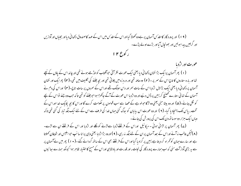## ( ۱۹) اور پرورد گار کامقدس آسمان پر ہے وہ کھولا گیا اوراس کے مقدس میں اس کے عہد کا صندوق دکھا ئی دیااور بجلیاں اور آوازیں اور گرجیں پیدا ہوئیں اور بھونچال آیا اور بڑے اولے پڑے۔ ر کورع ۱۲

عورت اور اژدیا

(۱) پھر آسمان پرایک بڑا نشان دکھائی دیا یعنی ایک عورت نظر آئی حوافتاب کواوڑھے ہوئے تھی اور چاند اس کے باؤں کے نیچے تھا اور بارہ ستاروں کا تاج اس کے سمر پر - ( ۲ ) وہ حاملہ تھی اور درد زہ میں چلاتی تھی اور بچہ جننے کی نکلیف میں تھی-( ۳) پھرایک اور نشان آسمان پر دکھائی دیا یعنی ایک بڑالال اژدیا اس کے سات سمر اور دس سینگ تھے اوراس کے سمروں پر سات تاج۔( س) اوراس کی دم نے آسمان کے تہائی ستارے تھینیج کرزمین پر ڈال دیئیے اور وہ اژدہا اس عورت کے آگے جاکھڑا ہوا حبوجننے کو تھی تاکہ حب وہ جنے تواس کے بیچے کو لگل جائے۔( ۵ ) اور وہ بیٹا جنی یعنی وہ لڑکا حولو ہے کے عصا سے سب قوموں پر حکومت کرے گا اوراس کا بجہ لکامک خدا اوراس کے تخت ، پاس تک پہنچاد پا گیا۔ ( ۲ ) اور وہ عورت اس بیابان کو بھاگ گئی حہاں غدا کی طرف سے اس کے لئے ایک جگہ تبار کی گئی تھی تاکہ وباں ایک ہزار دوسوساٹھ دن تک اس کی پرورش کی جائے۔

(ے) پھر آسمان پر لڑائی ہوئی ۔ میکائیل اوراس کے فرشتےاژدیا سے لڑنے کو لگلے اور اژدیا اور اس کے فرشتے ان سے لڑے۔ ( ۸ )لیکن عالب نہ آئے اوراس کے بعد آسمان پر ان کے لئے جگہ نہ رہی۔( ۹ ) اوروہ بڑا اژدیا یعنی وہی پراناسا سب حبوا بلیس اور شیطان کھلاتا ہے اور سارے حہان کو گھراہ کر دیتا ہے زمین پر گراد ما گیااوراس کے فرشتے بھی اس کے ساتھ گردانے گئے ۔( • ۱ ) پھر میں نے آسمان پر سے یہ بڑی آواز آت سنی کہ اب ہمارے پرورد گار کی نحات ، اور قدرت اور مادشاہی اوراس کے مسح کا اختیار ظاہر ہوا کیونکہ ہمارے ہعا ئیوں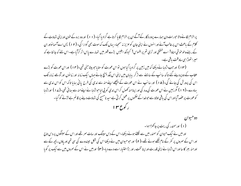پر الزام لگانے والا حبورات دن سمارے پرورد گار کے آگے ان پر الزام لگا یا کرتا ہے گراد یا گیا۔ ( ۱ ۱ ) اور وہ برہ کے خون اوراپنی شہادت کے کلام کے باعث اس پر غالب آئے اور انہوں نے اپنی جان کو عزیز نہ سمجا۔ بہاں تک کہ موت بھی گوارا کی۔ ( ۲ ) پس اے آسما نواور ان کے رہنے والو خوشی مناؤ! اے خشکی اور تری تم پر افسوس! کیونکہ ابلیس بڑے قہر میں تہارے پاس اتر کرآیاہے۔اس لئے کہ جا نتاہے کہ میرا تھوڑا ہی ساوقت یاقی ہے۔

(۱۳) اورجب اژدہانے دیکھا کہ میں زمین پر گراد ہا گیا ہوں تواس عورت کوستا یا حو بیٹا جنی تھی۔(۴ ) اوراس عورت کو بڑے عقاب کے دوپردیئے گئے تا کہ سانپ کے سامنے سے اڑ کر بیابان میں اپنی اس جگہ پہنچ جائے جہاں ایک زمانہ اور زمانوں اور آدھے زمانہ تک اس کی پرورش کی جائے گی۔( ۵ ا ) اور سانپ نے اس عورت کے پیچھے اپنے منہ سے ندی کی طرح یا فی ہہایا تاکہ اس کواس ندی سے بہادے۔(۱۲) مگر زمین نےاس عورت کی مدد کی اور اپنامنہ کھول کراس ندی کو پی لباحواژدبا نے اپنےمنہ سے ہہائی تھی۔(۲۷) اوراژدبا کوعورت پر عضہ آیااوراس کی باقی اولاد سے حوخدا کے صحموں پر عمل کر تی ہے سید نامسح کی شہادت دینے پر قائم ہے لڑنے کو گیا۔ ر کوع ۳ ا

دوحيوان (۱) اورسمندر کی ریت پر حاکھڑاہوا۔ اور میں نے ایک حیوان کو سمندر میں سے لُکلتے ہوئے دیکھا۔اس کے دس سپنگ اور سات سمر تھے اور اس کے سپنگوں پر دس تاج اور اس کے سمروں پر کفر کے نام لکھے ہوئے تھے۔( ۲ ) اور حبوحیوان میں نے دیکھا اس کی شکل تپیندوے کی سی تھی اور پاؤں ریچھ کے سے اورمنہ بہر کاسا اوراس اژدہا نے اپنی قدرت اوراپنا تخت، اور بڑااختبار اسے دے دیا۔(۲۰) اورمیں نے اس کے سمروں میں سے ایک پر گویا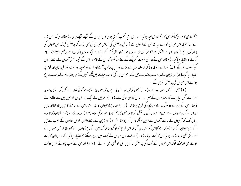زخم کاری لگا ہوا دیکھامگر اس کا زخم کاری احیا ہوگیا اورساری د نیا تعجب کرتی ہوئی اس حیوان کے پیچھے بیچھے ہولی۔ (مہ)اور حیونکہ اس اژدیا نے اپنا اختیار اس حیوان کو دے دیا تھا اس لئے انہوں نے اژدیا کی پرستش کی اوراس حیوان کی بھی یہ <sub>ک</sub>ھہ کر پرستش کی کہ اس حیوان کی ما نند کون ہے ؟ کون اس سے لڑسکتاہے ؟ ( ۵ ) اور بڑے بول بولنے اور کفر بکنے کے لئے اسے ایک منہ دیا گیا اوراسے بیالیس مہینے تک کام کرنے کا اختیار دیا گیا۔ ( ۲ )اوراس نے خدا کی نسبت کفر بکنے کے لئے منہ کھولا کہ اس کے نام اور اس کے خیمہ یعنی آسمان کے رہنے والوں کی نسبت کفر بکے۔(ے) اور اسےاختیار دیا گیا کہ مقدسوں سے لڑے اوران پر غالب آئے اور اسے مبر قبیلہ اورامت اورابل زبان اور قوم پر اختیار دیا گیا۔(۸) اور زمین کےوہ سب رہنےوالے حٖن کے نام اس برہ کی کتاب حیات میں لکھے نہیں گئے حو بنای عالم کےوقت سے ذمح ہواہےاس حیوان کی پرستش کریں گے۔

( ۹ ) حس کے کان ہوں وہ سے ۔( • ۱ ) حس کو قید ہونے والی ہے وہ قید میں پڑے گا۔حو کوئی تلوار سے قتل کرے گا وہ صرور تلوار سے قتل کیا جائے گا ۔مقدسوں کے صبر اور ایمان کا یہی موقع ہے۔(۱۱) پھرمیں نے ایک اور حیوان کو زمین میں سے نکلتے ہوئے دیکھا۔اس کے برہ کے دوسپئک تھے اوراژدہا کی طرح بولتا تھا۔ ( ۲ ا ) اور یہ پہلے حیوان کا سارااختیار اس کے سامنے کام میں لاتا تھا اور زمین اوراس کے رہنے والوں سے اس پہلے حیوان کی پرستش کراتا تھا حس کا زخم کاری احیا ہو گیا تھا۔ (۱۳) اور وہ بڑے بڑے نشان دکھاتا تھا-یہاں تک کہ آدمیوں کے سامنے آسمان سے زمین پرآگ نازل کردیتا تھا۔ (۱۴) اور زمین کے رہنے والوں کو ان نشانوں کے سبب سے حن کے اس حیوان کے سامنے دکھانے کا اس کواختیار دیا گیا تھا اس طرح گھراہ کردیتا تھا کہ زمین کے رہنےوالوں سے کھتا تھا کہ جس حیوان کے تلوار لکی تھی اور وہ زندہ ہو گیا اس کا بُت بناؤ۔ ( ھ ۱ ) اوراسے اس حیوان کے بُت میں روح پھونکنے کا اختیار دیا گیا تا کہ وہ حیوان کا بُت بولے بھی اورجتنے لوگ اس حیوان کے بُت کی پرستش نہ کریں ان کو قتل بھی کرائے ۔ (١٧ ) اوراس نے سب چھوٹے بڑوں دولت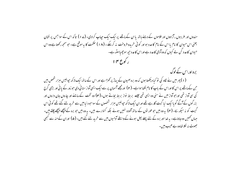مندوں اور غریبوں ، آزادوں اور غلاموں کے دہنے باتھ یا ان کے ماتھے پر ایک ایک حیاب کرادی۔ (۲۱۷) تاکہ اس کے سواحس پر نشان یعنی اس حیوان کا نام یا اس کے نام کا عدد ہو اور کوئی خریدو فروخت پنہ کرسکے ۔ (۱۸) حکمت کا یہ موقع ہے۔ حوسمجھ رکھتاہے وہ اس حیوان کاعدد کُن لے کیوں کہ وہ آدمی کاعدد ہے اوراس کاعدد حیھ سوچھیاسٹھ ہے۔ ر کورع ۱۴

برہ اوراس کے لوگ (۱) پھر میں نے لگاہ کی نو کیا دیکھتا ہوں کہ وہ برہ صیون کے یہاڑ پر کھڑا ہے اور اس کےساتھ ایک لاکھ جوالیس ہزار شخص بیں حن کے ماتھے پر اس کا اوراس کے باپ کا نام لکھا ہواہے۔ ( ۲ ) اورمجھے آسمان پر سے ایک ایسی آواز سنائی دی حبوزور کے پانی اور بڑی گرج کی سی آواز تھی اور حبو آواز میں نے سنی وہ ایسی تھی جیسے بربط نواز بربط بجاتے ہوں۔(۳) وہ تخت کےسامنے اور چاروں جان داروں اور بزر گوں کے آگے گو یا ایک نیا گیت گارہے تھے اوران ایک لاکھ حیوالیس ہزار شخصوں کے سواحبو د نیامیں سے خرید لئے گئے تھے کوئی اس گیت کو نہ سیکھ بیکا- (۴) یہ وہ بیں حو عور نوں کے ساتھ آلودہ نہیں ہوئے بلکہ کنوارے بین۔ یہ وہ بیں حو برہ کے پیچھے پیچھے چلتے ہیں-حہاں تھمیں وہ جاتاہے۔ یہ خدا اور برہ کے لئے پہلے پھل ہونے کے واسطے آدمیوں میں سے خرید لئے گئے بیں۔ ( ۵ ) اوران کےمنہ سے کبھی حصوٹ نہ لکلا تھاوہ بے عیب، پیں۔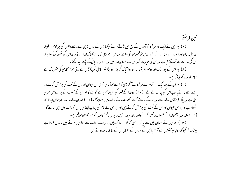تین فرشتے

( ۲ ) پھر میں نے ایک اور فرشتہ کوآسمان کے بیچ میں اڑتے ہوئے دیکھا جس کے پاس زمین کے رہنے والوں کی ہر قوم اورقببیله اور اہل زبان اور امت کے سنانے کے لئے ایدی خوشخبری تھی۔(ے)اوراس نے بڑی آواز سے کہا کہ خدا سے ڈرو اوراس کی تمجید کروکیوں کہ اس کی عدالت کاوقت آپہنچاہے اوراسی کی عمادت کروجس نے آسمان اور زمین اور سمندر اور یا ٹی کے چشے پیدا کئے ۔ (۸) پھراس کے بعد ایک اور دوسرا فرشتہ بہ <sub>ک</sub>ھتا ہوا آما کہ گرپڑا۔ وہ بڑا شہر یابل گرپڑا <sup>ج</sup>س نے اپنی حرام کاری کی عضبناک مے تمام قوموں کو پلائی ہے۔

( ۹ ) بھران کے بعدایک اور تیسرے فرشتہ نے آکر بڑی آواز سے کہا کہ حو کو ئی اس حیوان اور اس کے بُت کی پرستش کرے اور اپنے ماتھے مااپنے پاتھ پراس کی حیاب لے لے۔( • ۱ ) وہ خدا کے قہر کی اس خالص مے کو پئے گاحواس کے عضب کے پبالے میں بھری گئی ہے اور پاک فرشتوں کے سامنے اور برہ کے سامنے آگ اور گندھک کے عذاب میں مبتلاہو گا - ( ۱ ۱ ) اوران کے عذاب كا دحواں ابدالاآباد اٹھتا رہے گا حواس حیوان اوراس کے بُت کی پرستش کرتے ہیں اور حواس کے نام کی حیاب لیتے ہیں ان کو رات دن چین نہ ملےگا-(۱۲) مقدسوں یعنی خدا کے صحموں پر عمل کرنے والوں اور سید نامسح پر ایمان رکھنے والوں کو صبر کا یہی موقع ہے۔

(۱۳) پھر میں نے آسمان میں سے یہ آواز سنی کہ لکھ! مبارک بیں وہ مرُدے حواب سے مولا میں مرتے ہیں ۔ روح فرماتا ہے بیٹنگ! کیونکہ وہ اپنی محنتوں سےآرام یائیں گے اوران کے اعمال ان کے ساتھ ساتھ ہوتے ہیں۔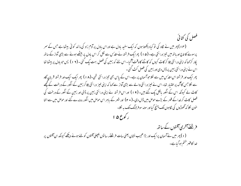## فصل کی کٹائی

(۱۴) بھر میں نے لگاہ کی تو کیا دیکھتا ہوں کہ ایک سفید یادل ہے اوراس بادل پر آدم زاد کی مانند کوئی بیٹھا ہے جس کے سر پرسونے کا تاج اورباتھ میں تیز درانتی ہے۔ ( ھ ا ) پھرامک فرشتہ نے مقدس سے لکل کر اس بادل پر بیٹھے ہوئے سے بڑی آواز کے ساتھ یکار کر <sub>ک</sub>ماکہ اپنی درانتی چلا کر کاٹ کیوں کہ کاٹنے کاوقت آگیا ۔اس لئے کہ زمین کی فصل بہت یک گئی ۔ ( ۱ ۲ ) پس حو مادل پر بیٹھا تھا اس نے اپنی درا نتی زمین پر ڈال دی اور زمین کی فصل کٹ گئی۔

پھر ایک اور فرشتہ اس مقدس میں سے لکا حبواسمان پر ہے۔ اس کے پاس بھی تبیز درانتی تھی۔(۱۸) پھر ایک ایک اور فرشتہ قربان گاہ سے لکلاحس کا آگ پر اختیار تھا۔اس نے تیمز درانتی والے سے بڑی آواز سے کہا کہ اپنی تیمز درانتی چلا کر زمین کے انگور کے درخت کے کچھے کاٹ لے کیونکہ اس کے انگور پالکل بک گئے ہیں۔ ( ۹ ا ) اور اس فرشتہ نے اپنی درانتی زمین پر ڈالی اور زمین کے انگور کے درخت کی فصل کاٹ کر خدا کے قہر کے بڑے حوص میں ڈال دی۔( + ٢) اور شہر کے ماہر اس حوص میں انگور روندے گئے اور حوص میں سے اتنا خون نکلا کہ گھوڑوں کی نگاہوں تک بہنچ گیا اور سولہ سو فر لانگ تک یہ نکلا۔ ر کوع ۱۵

فرشتے آخری آفتوں کے ساتھ (۱) بھر میں نےآسمان پرا یک اور بڑا عجیب نشان یعنی سات فرشتے ، سا توں بھجلی آفتوں کو لئے ہوئے دیکھے کیونکہ ان آفتوں پر خدا کا قہر ختم ہو گیاہے۔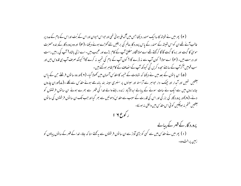( ۲ ) پھر میں نے شیشہ کا ساایک سمندر دیکھا جس میں آگ ملی ہوئی تھی اور حواس حیوان اوراس کے بُت اوراس کے نام کےعدد پر غالب آئے تھے ان کو اس شیشہ کے سمندر کے پاس پرورد گار عالم کی بر بطیں لئے کھڑے ہوئے دیکھا۔(۳) اور وہ پرورد گار کے بندہ حصرت موسیٰ کا گیت اور برہ کا گیت گا گا کرکھتے تھے اے مولا!قادر مطلق آپ کے کام بڑے اور عجیب بیں۔ اے ازلی باشاہ! آپ کی راہیں راست اور درست بیں۔ ( مہ) اے مولا! کون آپ سے نہ ڈرے گا ؟ کون آپ کے نام کی تہجید نہ کرے گا؟ کیونکہ صرف آپ ہی قدوس بیں اور سب قومیں آکر آپ کے سامنے سحدہ کریں گی کیونکہ آپ کے انصاف کے کام ظاہر ہوگئے بیں۔

(۵) ان یا توں کے بعد میں نے دیکھا کہ شہادت کے خیمہ کامقدس آسمان میں کھولا گیا- (۲)اور وہ سا توں فرشتے حن کے پاس ۔<br>انتشیں تھیں اور آمدار اور جیک دار حواہر سے آراستہ اور سینوں پر سنہری سینہ بند پاندھے ہوئے مقدس سے نکلے ۔(ے)اوران چاروں جانداروں میں سے ایک نے سات سونے کے پیالے ایدالاآباد زندہ رہنے والے غدا کی قہر سے بھرے ہوئے ان سا نوں فرشتوں کو دئے۔(۸)اور پرورد گار کی بزر گی اور اس کی قدرت کے سبب سے مقدسَ دھوئیں سے بھر گیا اورجب تک ان ساتوں فرشتوں کی ساتوں سفتیں ختم نہ ہوچکیں کوئی اس م<sub>قد</sub>س میں داخل نہ ہوسکا۔ ر کورع ۱ ۱

پرورد گار کے قہر کے پیالے (۱) پھر میں نے مقدّس میں سے کسی کو بڑی آواز سے ان سا نوں فرشتوں سے بہ کھتے سنا کہ جاؤ- غدا کے قہر کے سا نوں یہالوں کو زمین پر الٹ دو۔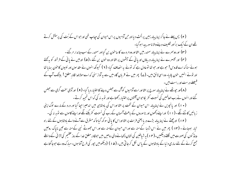(۲) پس پہلے نے جا کراپنا پبالہ زمین پر اُلٹ دیا اور حن آدمیوں پر اس حیوان کی حیاب تھی اور حبواس کے بُت کی پرستش کرتے تھے ان کے ایک براُ اور نگلیف دینے والا ناسور پیدا ہو گیا۔

(۳) اور دوسرے نے اپنا پیالہ سمندر میں الٹااور وہ مردے کا ساحون بن گیااور سمندر کے سب جاندار مرٹئے۔ (۴) اور تیسرے نے اپنا پیالہ دریاؤں اوریانی کے حیثموں پر الٹا اور وہ خون بن گئے ۔(۵) اور میں نے یانی کے فرشتہ کو بہ تھتے ہوئےسنا کہ اے قدوس! حبوہے اور حبو تھا توعادل ہے کہ نونے یہ انصاف کیا- ( ۲ ) کیونکہ انہوں نے مقدسوں اور نبیوں کاحنون بہایا تھا اور نونے انہیں خون پلایا- وہ اسی لائن ہیں- (ے) پھر میں نے قربان گاہ میں سے یہ آواز سنی کہ اےمولاخدا قادر مطلق! بیٹنک آپ کے فیصلے درست اور راست بیں۔

(۸)اور ح<u>بوتھ</u>ے نے اپنا پیالہ سورج پر الٹا اور اسے آدمیوں کواگ سے جعلس دینے کا اختیار دیا گیا۔(۹) اور آدمی سخت گرمی سے جعلس گئے اور انہوں نے رب العالمین کی نسبت کفر پکا حبوان آفتوں پر اختیار رکھتا ہے اور نوبہ نہ کی کہ اس تمجید کرتے۔

( • ۱ ) اور پانچویں نے اپناپیالہ اس حیوان کے تخت پر الٹا اوراس کی بادشاہی میں اندھیرا جیا گیا اور درد کے مارے لوگ اپنی زیانیں کاٹنے لگے۔(۱۱) اوراپنے دکھوں اور ناسوروں کے باعث آسمان کے رب کی نسبت کفر بکنے لگے اوراپنے کاموں سے نوبہ نہ کی۔ (۱۲) اورچھٹے نے اپنا پیالہ بڑے دریا یعنی فرات پر الٹااوراس کا یا ٹی سو کھ گیا تاکہ مشرق سے آنے والے بادشاہوں کے لئے راہ تبار ہوجائے ۔ (۱۳) پھر میں نے اس اژدبا کے منہ سے اوراس حیوان کےمنہ سے اور اس جھوٹے نبی کے منہ سے تین ناپاک روحیں مینڈ کوں کی صورت میں لکلتے دیکھیں۔( ۱ م ) یہ شیاطین کی نشان دکھانے والی روحیں بیں حوقادر مطلق غدا کے روز عظیم کی لڑائی کے واسطے جمع کرنے کے لئے ساری دنیا کے بادشاہوں کے پاس لکل کرجاتی ہیں۔ ( ۵ ا ) (دیکھومیں حپور کی طرح آتا ہوں۔مبارک وہ ہے حوجا گتا ہے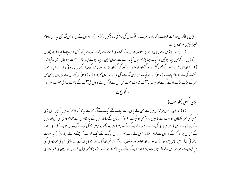اورا پنی یوشاک کی حفاظت کرتا ہے تا کہ ننگا نہ پھرے اور لوگ اس کی برہنگی نہ دیکھیں۔)(۱۶۱)اورانہوں نے ان کواس جگہ جمع کیا جس کا نام عسرا ئی میں ہرمجدون ہے۔

(ے ۱ ) اور سا نویں نے اپنا پیالہ ہوا پر الٹا اور مقدس کے تخت کی طرف سے بڑے زور سے بہ آواز آئی کہ ہوجکا۔(۱۸ ) پھر بجلیاں اور آوازیں اور گرجیں پیدا ہوئیں اورایک ایسا بڑا بھونچال آیا کہ حب سے انسان زمین پر پیدا ہوئے ایسا بڑا اور سخت بھونچال کسجی نہ آیا تھا-( ۹ ا ) اوراس بڑے شہر کے تین گلڑے ہوگئے اور قوموں کے شہر گر گئے اور بڑے شہر پابل کی خدا کے پاں باد ہوئی تاکہ اسے اپنے سخت عضب کی ہے کا جام پلائے۔ ( • ۲ ) اور ہر ایک ٹا پواپنی جگہ سے ٹل گیا اور پہاڑوں کا پتہ نہ لگا۔ ( ۲ ۲ ) اور آسمان سے آدمیوں پر من من بھر کے بڑے بڑے اولے گرے اور حیونکہ یہ آفت نہایت سخت تھی اس لئے لوگوں نے اولوں کی آفت کے ماعث خدا کی نسبت کفریکا-ر کوع ہے ا

بڑی کسی (طوائف)

(۱) اور ان سا نوں فرشتوں میں سے حن کے پاس سات پہالے تھے ایک نے آگر مجھ سے ہہ کہا کہ ادھرآؤ۔ میں تہیں اس بڑی ۔<br>کسبی کی سمزا دکھاؤں جو بہت سے پانیوں پر بیٹھی ہوئی ہے۔ ( ۲ ) اور جس کے ساتھ زمین کے بادشاہوں نے حرام کاری کی تھی اور زمین کے رہنے والے اس کی حرام کاری کی مے سے متوالے ہوگئے تھے۔ (۳) پس وہ مجھے روح میں جنگل کو لے گیا۔وہاں میں نے قرمزي رنگ کے حیوان پر حو کفر کے ناموں سے لیا ہوا تھا اور حس کے سات سمر اور دس سینگ تھے ایک عورت کو بیٹھے ہوئے دیکھا۔(مہ) یہ عورت ارعوا فی اور قر مزی لباس پہنے ہوئے اور سونے اور حواہر اور مو تیوں سے آراستہ تھی اورایک سونے کا پبالہ مکروبات یعنی اس کی حرامکاری کی ناپاکیوں سے بھراہوااس کے ہاتھ میں تھا۔ ( ۵ ) اوراس کے ماتھے پر یہ نام لکھاہوا تھا۔ راز۔ بڑا شہر بابل، کسبیوں اور زمین کی مکروبات کی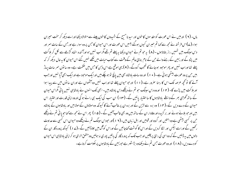ماں۔ ( ۲ ) اورمیں نے اس عورت کو مقدسوں کا حون اور سید نامسح کے شہدوں کا حون پینے سے متوالا دیکھا اوراسے دیکھ کرسخت حبیران ہوا۔(ے)اس فرشتہ نے مجھ سے کہا تم حبیران کیوں ہوگئے ؟ میں اس عورت اور اس حیوان کا حبں پر وہ سوار ہے اور حبں کے سات سمر اور دیں سینگ بیں تہیں راز بتاتاہوں۔ (۸) یہ حو تم نے حیوان دیکھا یہ پہلے تم تھے مگر اب نہیں ہواورآئندہ اتفاہ گڑھے سے لکل کر ہلاکت میں پڑو گے اور زمین کے رہنے والے حن کے نام بنائ عالم کے وقت سے کتاب حیات میں لکھے نہیں گئے اس حیوان کا بہ حال دیکھ کر کہ پہلے تھااوراب نہیں اور پھر موحود ہو جانے گا تعجب کروگے۔ ( ۹ ) یہی موقع ہے اس ذہن کا حس میں حکمت ہے۔ وہ سا نوں سر سات یہاڑ بیں حن پروہ عورت بیٹھی ہوئی ہے۔( • ۱ ) اور وہ سات بادشاہ بھی بیں پانچ نو ہوچکے بیں اورایک موحود ہے اورایک ابھی آیا نہیں اور حب ۔<br>ائے گا تو تحیر عرصہ تک اس کا رہنا صرور ہے۔(۱۱) اور حبو حیوان پہلے تھا اوراب نہیں وہ آٹھواں ہے اوران ساتوں میں سے پیدا ہوا اورہلاکت میں پڑے گا۔ ( ۲ ا ) اوروہ دس سینگ حو تم نے دیکھے دس بادشاہ بیں۔ ابھی تک انہوں نے بادشاہی نہیں یائی مگراس حیوان کے ساتھ گھڑی بھر کے واسطے پادشاہوں کا سااختیار پائیں گے۔ (۱۳) ان سب کی ایک ہی رائے ہوگی اوروہ اپنی قدرت اور اختیار اس حیوان کے دے دیں گے۔(۱۴) وہ برہ سے لڑیں گے اور برہ ان پر غالب آئے گا کیونکہ وہ مولاؤں کے مولا بیں اور بادشاہوں کے بادشاہ بیں اور حبو بلائے ہوئے اور بر گزیدہ اور وفادار ان کے ساتھ بیں وہ بھی غالب آئیں گے ۔ ( ۵ ا ) پھر اس نے محیر سے کہا حبو یا نی تم نے دیکھے حن پر کسپی بیٹھی ہے وہ امتیں اور گروہ اور قومیں اور اہل زیان بیں۔(۱۶)اور حبودس سینگ تم نے دیکھے وہ حیوان اس کسپی سے عداوت رکھیں گے اوراسے بیکس اور ننگا کردیں گے اوراس کا گوشت کھاجائیں گے اوراس کوآگ میں جلاڈالیں گے ۔(ے ا ) کیونکہ پرورد گار ان کے دلوں میں یہ ڈالیں گے کہ وہ اسی کی رائ پر چلیں اور حب تک کہ پرورد گار کی باتیں پوری نہ ہولیں وہ متفق الرای ہو کراپنی بادشاہی اس حیوان کودے دیں۔ (۱۸) اور وہ عورت حس تم نے دیکھاوہ بڑا شہر ہے حوزمین کے بادشاہوں پر حکومت کرتا ہے۔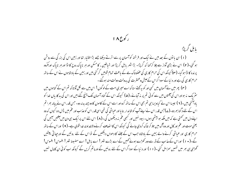ر کوع ۱۸ یا بل گرپڑا (۱) ان یا نوں کے بعد میں نے ایک اور فرشتہ کوآسمان پر سے اترتے دیکھا جسے بڑا اختیار تھا اور زمین اس کی بزر گی سے روشن ہو گئی۔( ۲ ) اس نے بڑی آواز سے چلا کر <sub>ک</sub>ما کہ گر پڑا۔ بڑا شہر مابل گر پڑا اور شاطین ، کامسکن اور ہر ناپاک روح کا اڈا اور ہر ناپاک اور مگروہ پرندہ کااڈاہوگیا۔ (۳) کیونکہ اس کی حرام کاری کی عضبناک ہے کے باعث تمام قومیں گر گئی بیں اور زمین کے بادشاہوں نے اس کے ساتھ حرام کاری کی ہے اور د نیا کے سودا گراس کےعیش وعسٹرت کی بدولت دولت مند ہوگئے ۔ ( مہ) پھر میں نے آسمان میں کسی اور کو یہ کھتے سنا کہ اے میری امت کے لوگوں! اس میں سے نکل آؤ تا کہ تم اس کے گناہوں میں

سٹریک نہ ہواوراس کی آفتوں میں سے کوئی تم پر مہ آجائے۔( ۵ ) کیونکہ اس کے گناہ آسمان تک پہنچ گئے ہیں اور اس کی بد کارباں خدا کو باد آگئی بیں۔( ۲ ) جیسا اس نے کیاویسا ہی تم بھی اس کے ساتھ کرواور اسے اس کے کاموں کا دو چند بدلہ دو۔ جس قدر اس نے پیالہ بھرا تم اس کے لئے دؒ گنا بھر دو۔(ے)جس قدر اس نے اپنےآپ کو شاندار بنایااور عباشی کی تھی اسی قدر اس کوعذاب اور عم میں ڈال دو کیوں کہ وہ اپنے دل میں تھتی ہے کہ میں ملکہ ہو بیٹھی ہوں۔ بیوہ نہیں اور کسجی عم نہ دیکھوں گی۔( ۸ ) اس لئے اس پر ایک ہی دن میں آفتیں آئیں گی یعنی موت اور عم اور کال اور وہ آگ میں جلا کر خاک کردی جائے گی کیونکہ اس کا انصاف کرنے والاخداو ند خدا قوی ہے۔ ( ۹ ) اوراس کے ساتھ حرام کاری اور عباشی کرنے والے زمین کے بادشاہ حب اس کے جلنے کا دھواں دیکھیں گے تو اس کے لئے روئیں گے اورحیا تی پیٹیں گے۔( • ۱ ) اوراس کے عذاب کے ڈر سے دور کھڑے ہوئے کہیں گے اے بڑے شہر ! اے پابل! اے مضبوط شہر ! افسوس! افسوس! گھڑی ہی بھر میں تہیں سمزامل گئی ۔(۱۱) اور د نیا کے سوداگراس کے لئے روئیں گے اورماتم کریں گے کیونکہ اب کوئی ان کامال نہیں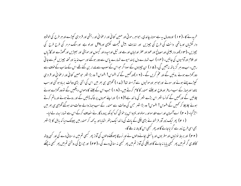خرید نے کا -(۱۲) اوروہ مال بہ ہے سونا، چاندی ، حواہر ، موتی اور مہین کتا نی اور ارعوا نی اور ریشی اور قرمزی کیپڑے اور ہر طرح کی خوشبو دار لکڑیاں اورہائھی دانت کی طرح کی چیزیں اور نہایت بیش قیمت لکڑی اور پیتل اورلو ہے اورسنگ مرمر کی طرح طرح کی چییزیں۔(۱۳)اور دار چینی اور مصالح اور عود اور عطر اورلیان اور بے اور تیل اورمیدہ اور گیہوں اور مویشی اور بھیڑیں اور گھوڑے اور گاڑیاں اور غلام اورآدمیوں کی جانیں۔ (۱۴ ) اب تہارے دل پسند میوے تہارے پاس سے دور ہوگئے اور سب لذیذ اور تحفہ جیزیں تم سے جاتی رہیں۔اب وہ ہر گزیاتھ نہ آئیں گی۔ ( ۵ ۱ ) ان چیزوں کے سوداگر حبواس کے سبب سے مالدار بن گئے تھے اس کے عذاب کے خوف سے دور کھڑے ہوئے روئیں گے اور عم کریں گے ۔ (۱۲)اور کھمیں گے کہ افسوس! افسوس! وہ بڑا شہر حومہین کتانی اور ارعوانی اور قرمزی کپڑے پہنے ہوئے اور سونے اور حبواہر اورمو تیوں سے آراستہ تھا! (ے ا ) گھڑی ہی بھر میں اس کی اتنی بڑی دولت برباد ہوگئی اورسب ناخدا اورحہاز کے سب مسافر اورملاح اورجتنے سمندر کا کام کرتے ہیں۔ (۱۸) جب اس کے جلنے کا دھواں دیکھیں گے تو دور کھڑے ہوئے چلائیں گے اور کھیں گے کو نسا شہر اس بڑے شہر کی مانند ہے؟( ۹ ۱ ) اوراپنے سمروں پر خاک ڈالیں گے اور روتے ہوئے اور ماتم کرتے ہوئے چلا چلا کر ٹھمیں گے افسوس! افسوس! وہ بڑا شہر جس کی دولت سے سمندر کے سب حہاز والے دولت مند ہوگئے گھڑی ہی بھر میں احڑ گیا۔ ( ٭ ۲ ) اسے آسمان اور اسے مقدسواور رسولواور نبییواس پر خوشی کرو کیونکہ پرور د گار نے انصاف کرکے اس سے تمہارا بدلہ لے لیا۔ ( ۲۱ ) بھرایک زور آور فرشتہ نے بڑی چکی کے باٹ کی مانند ایک پتھراٹھا یااور بہ کہہ کرسمندر میں پھینک دیا کہ بابل کا بڑاشہر بھی اسی طرح زور سے گرا ماجائے گا اور پھر گبھی اس کا پتہ نہ بلے گا۔ (۲۲) اور بربط نوازوں اور مطر بوں اور مانسلی بحانے والوں نے اور نرسڈکا پھونکنے والوں کی آواز پھر کسجی تم میں مذسنائی دے گی اور کسی پیشہ

کاکاری گر تم میں پھر کبھی پایا نہ جائے گااور چکی کی آواز تم میں پھر کبھی نہ سنائی دے گی ۔(۲۳) اور جراغ کی روشنى تم میں پھر کبھی نہ چیکے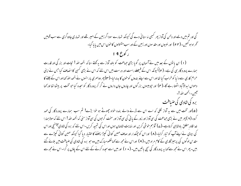گی اور تم میں دیے اور دلہن کی آواز پھر کبھی نہ سنا ئی دے گی کیونکہ تہارے سوداگر زمین کے امیر تھے اور تہاری جادوگری سے سب قومیں ٹحمراہ ہو گئیں۔ (۲۴) اور نبیوں اور مقدسوں اور زمین کے اور سب مقتولوں کا حون اس میں پایا گیا۔ ر کوع ۹ ا

(۱) ان یا توں کے بعد میں نے آسمان پر گویا بڑی حماعت کو بلند آواز سے بہ کھتے سنا کہ الحمد اللہ ! نحات اور بزر کی اور قدرت ہمارے پرورد گار ہی کی ہے۔ (۲) کیونکہ اس کے فیصلے راست اور درست ہیں اس لئے کہ اس نے بڑی کسبی کا انصاف کیا جس نے اپنی حرام کاری سے د نیا کو خراب کیا تھا اور اس سے اپنے بندوں کو حون کا بدلہ لیا-(۳) پھر دوسمری بار انہوں نے الحمد الله کہا اوراس کے جلنے کا دھواں ابدالاآباد اٹھتا رہے گا-( مہ) اور حپوبیسوں بزر گوں اور چاروں جان داروں نے گر کر پرورد گار کو سحدہ کیا جو تخت پر بیٹھا تھا اور کہا سمبن۔ ال*محمد* اللہ !۔

برہ کی شادی کی ضبافت

(۵)اور تخت میں سے یہ آواز لکلی کہ اسے اس سے ڈرنے والے بندہ خواہ جھوٹے ہو خوا بڑے! تم سب ہمارے پرورد گار کی حمد کرو۔(۲) پھر میں نے بڑی حماعت کی سی آواز اور زور کے یا نی کی سی آواز اور سخت گرحبوں کی سی آواز سنی کہ الحمد الله ! اس لئے کہ مولاہمارا خدا قادر مطلق بادشاہی کرتاہے۔(ے) آؤہم حوشی کریں اور نہایت شادمان ہوں اوراس کی تہجید کریں-اس لئے کہ برہ کی شادی آپہنیجی اوراس کی بیوی نے اپنے آپ کو تیار کرلیا-(۸) اوراس کو چمکدار اور صاف مہین کتانی کیپڑا پہننے کا اختیار دیا گیا کیونکہ مہین کتانی کپڑے سے مقدس لوگوں کی پرہیز گاری کے کام مراد بیں۔( ۹ ) اوراس نے مجھ سے کہالکھومبارک بیں وہ حبو برہ کی شادی کی ضیافت میں بلائے گئے بیں۔ پھر اس نے مجھ سے کہا ہہ پرورد گار کی سچی باتیں بیں۔ ( • ۱ ) اور میں اسے سجدہ کرنے کے لئے اس کے یاؤں پر گرا۔اس نے مجھ سے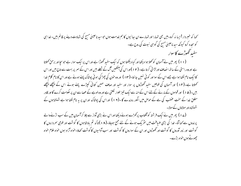<sup>س</sup>حہا کہ خسردار !ایسا نہ کرو۔میں بھی تہارا اور تہارے ان سائیوں کا ہم خدمت ہوں حوسید ناعیسیٰ مسح کی شہادت دینے پر قائم بین- خدا ہی کوسجدہ کرو کیونکہ سید ناعیسیٰ مسح کی گواہی نبوت کی روح ہے۔ سفید گھوڑے کاسوار

(۱۱) پھر میں نے آسمان کو تھلاہوا دیکھا اور کیا دیکھتا ہوں کہ ایک سفید گھوڑا ہے اوراس پر ایک سوار ہے حوسحا اور برحق کھلاتا ہے اوروہ راستی کے ساتھ ا نصاف اورلڑا ئی کرتا ہے۔ ( ۲ ۱ )اوراس کی آنکھیں گ کے شطے بیں اور اس کے سمر پر بہت سے تاج بیں اور اس کاایک نام لکھا ہوا ہے جسے اس کے سوا اور کوئی نہیں جا نتا۔(۱۳ ) اور وہ خون کی چھڑکی ہوئی پوشاک پہنے ہوئے ہے اور اس کا نام کلام خدا کھلاتا ہے۔(۱۴) اور آسمان کی فوجیں سفید تھوڑوں پر سوار اور سفید اور صاف مہین کتانی کپڑے پہنے ہوئے اس کے پیچھے پیچھے بییں۔( ۱۵ ) اور قوموں کے مارنے کےلئے اس کے منہ سے ایک تبیز تلوار لکلتی ہے اور وہ لوہے کے عصا سے ان پر حکومت کرے گا اور قادر مطلق خدا کے سخت عضب کی مے کے حوص میں انگور روندے گا -(١ ٢ ) اوراس کی بوشاک اوران پر یہ نام لکھا ہوا ہے شهنشاہوں کے شہنشاہ اور مولاؤں کےمولا۔

(ے ۱ ) پھر میں نے ایک فرشتہ کوآفتاب پرکھڑے ہوئے دیکھا اوراس نے بڑی آواز سے چلا کرآسمان میں کے سب اڑنےوالے پرندوں سے کہا آؤ- خدا کی بڑی صباقت میں سٹریک ہونے کے لئے جمع ہوجاؤ۔( ۱۸)تا کہ تم بادشاہوں کا گوشت اور فوجی سر داروں کا گوشت اور زور آوروں کا گوشت اور ٹھوڑوں اور ان کے سواروں کا گوشت اور سب آدمیوں کا گوشت کھاؤ۔خواہ آزاد ہوں خواہ علام خواہ چھوٹےہوں خواہ بڑے۔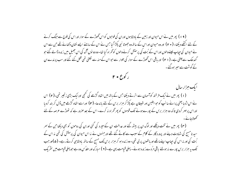( ۱۹ ) پھر میں نے اس حیوان اور زمین کے بادشاہوں اوران کی فوجوں کو اس ٹھوڑے کے سوار اور اس کی فوج سے جنگ کرنے کے لئے اکٹھے دیکھا۔ ( • ٢ ) اور وہ حیوان اوراس کے ساتھ وہ جھوٹا نبی پکڑا گیا جس نے اس کے سامنے ایسے نشان دکھائے تھے جن سے اس نے حیوان کی حیاب لینے والوں اوراس کے بُت کی پرستش کرنے والوں کوٹھراہ کیا تھا۔ وہ دو نوں گ کی اس جھیل میں زندہ ڈالے گئے حبو گندھک سے جلتی ہے۔ ( ۲ ۲ ) اور باقی اس گھوڑے کے سوار کی تلوار سے حبواس کے منہ سے لکلتی تھی قتل کئے گئے اور سب پرندے ان کے گوشت سے سہر ہوگئے۔ ر کوع ۲۰

ایک ہزار سال (۱) پھر میں نے ایک فرشتہ کوآسمان سے اترتے دیکھا جس کے باتھ میں اتھاہ گڑھے کی کنچی اورامک بڑی زنجیر تھی۔(۲) اس نے اس اژدیا یعنی پرانے سا نپ کو حبوا بلبیس اور شیطان ہے پکڑ کر ہزار برس کے لئے باندھا۔ (۳) اوراسے اتفاہ گڑھے میں ڈال کربند کردیا اوراس پر مہر کردی تاکہ وہ ہزار برس کے پورےہونے تک قوموں کو پھر گھراہ نہ کرے۔اس کے بعد صرور ہے کہ تھوڑے عرصہ کے لئے کھولاجائے۔

( ۴) پھر میں نے تخت دیکھے اور لوگ ان پر بیٹھ گئے اور عدالت ان کےسپرد کی گئی اوران کی روحوں کو بھی دیکھا جن کے سر سید نامسح کی شہادت دینے اور پرورد گار کے کلام کے سبب سے کاٹے گئے تھے اور جنہوں نے نہ اس حیوان کی پرستش کی تھی نہ اس کے <sup>ث</sup>بت کی اور نہ اس کی حیاب اپنے ماتھے اور ہاتھوں پر لی تھی۔ وہ زندہ ہو کر ہزار برس تک مسح کے ساتھ پادشاہی کرتے رہے۔ (۵)اورحب تک پہ ہزار برس پورے نہ ہولئے باقی مرُدے زندہ ہوئے۔ پہلی قیامت یہی ہے۔( ۲ ) مبارک اور مقدُس وہ ہے حو پہلی قیامت میں سثر یک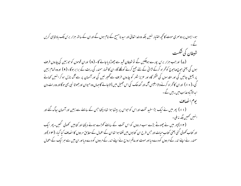ہو۔ایسوں پر دوسری موت کانحچھ اختبار نہیں بلکہ وہ خدا تعالیٰ اور سید نامسیح کے امام ہوں گے اوران کے ساتھ ہزار برس تک بادشاہی کریں شیطان کی شکست

(ے) اور *جب ہز*ار برس پورے ہوچکیں گے نوشیطان قید سے چھوڑد ماجائے گا - (۸) اوران قوموں کو حبوزمین کی چاروں طر**ف** ہوں گی یعنی حوج وماحوج کو گھراہ کرکے لڑا ئی کے لئے جمع کرنے کو کھلے گا۔ان کا شمار سمندر کی ریت کے برا برہوگا۔( ۹ ) اوروہ تمام زمین پر پھیل جائیں گی اور مقدسوں کی کشکر گاہ اور عزیز شہر کو چاروں طرف سے گھیر لیں گی اور آسمان پر سے آگ نازل ہوکر انہیں کھانے گی۔( ٭ ۱ ) اوران کاٹھراہ کرنےوالا ابلیس آگ اور گندھک کی اس جھیل میں ڈالاجائے گاجہاں وہ حیوان اورجھوٹا نبی بھی ہوگااور وہ رات دن ایدالاآباد عذاب میں رہیں گے۔

يوم انصاف

(۱۱) پھر میں نے ایک بڑا سفید تخت اوراس کو حواس پر بیٹھا ہوا تھا دیکھا جس کے سامنے سے زمین اور آسمان یھاگ گئے اور اىنىس كىمىن جگە بەملى -

(۱۲) پھر میں نے چھوٹے بڑے سب مردوں کو اس تخت کے سامنے کھڑے ہوئے دیکھا اور کتابیں کھولی گئیں۔ پھر ایک اور کتاب تھولی گئی یعنی کتاب حیات اور حس طرح ان کتابوں میں لکھا ہوا تھا ان کے اعمال کے مطابق مر دوں کا انصاف کیا گیا۔ (۱۳) اور سمندر نے اپنے اندر کے مردوں کو دے دیااور موت اورعالم ارواح نے اپنے اندر کے مردوں کو دے دیااور ان میں سے ہر ایک کے اعمال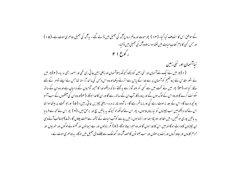کے موافق اس کا انصاف کیا گیا۔ (۱۴ ) پھر موت اورعالم ارواح آگ کی جھیل میں ڈالے گئے ۔ بہ آگ کی جھیل دوسمری موت ہے۔(۵ ا ) اور حس کسی کا نام کتاب حیات میں لکھا ہوا نہ ملاوہ آگ کی جھیل میں ڈالیا۔ ر کوع ۲۱

نیاآسمان اور نئی زمین (۱) بھر میں نے ایک نئے آسمان اور نئی زمین کو دیکھا کیونکہ پہلاآسمان اور پہلی زمین جا تی رہی تھی اور سمندر بھی نہ ربا۔(۲) بھر میں نے شہر مقد س نئے پروشلیم کوآسمان پر سے خدا کے پاس سے اترتے دیکھااوروہ اس دلہن کی مانند آراستہ تعاجس نے اپنے شوہر کے لئے ر نگار کیا ہو۔(**۳)** پھر میں نے تخت میں سے کسی کو بلند آواز سے بہ ک<sup>ہتے</sup> سناکہ دیکھوخدا کا خیمہ آدمیوں کے درمیان ہے اور وہ ان کے ساتھ سکو نت کرے گا اوروہ اس کے لوگ ہوں گے اور پرورد گار آپ ان کے ساتھ رہے گا اور ان کا غدا ہوگا-( مہ)اوروہ ان کی آنکھوں کے سب آنسو پونچھ دے گا۔اس کے بعد نہ موت رہے گی اور نہ ماتم رہے گا- نہ آہ وہ نالہ نہ درد - پہلی چیزیں جاتی رہیں۔ ( ۵ ) اورحو تخت پر بیٹھاہوا تھا اس نے کہا دیکھومیں سب چیزوں کو نیا بنادیتا ہوں۔ پھر اس نے کہالکھ لو کیونکہ یہ باتیں سچ اور برحن ہیں۔( ۲ ) پھر اس نے مجھ سے فرمایا یہ پاتیں پوری ہو کئیں۔میں الفااور اومیگا ابتدااورا نتہا ہوں۔میں پیاسے کوآب حیات کے چشمہ سےمفت پلاؤں گا۔ (ے)حوغالب آئےوہی ان جییزوں کا وارث ہوگا اورمیں اس کا خدا ہوں گا اور وہ میرا بیٹا ہوگا۔ ( ۸ ) مگر بزدلوں اور ۔بے ایما نوں اور گھنونے لوگوں اور خوبیوں اور حرام کاروں اور جادو گروں اور بُت پرستوں اور سب جھو ٹوں کا حصہ آگ اور گندھک سے جلنے والی جھیل میں ہو گا۔ یہ دوسمری موت ہے۔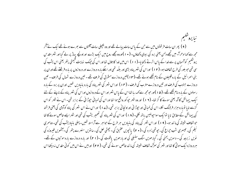نبا پروشلیم ( ۹ ) بھر ان سات فرشنوں میں سے حن کے پاس سات پہالے تھے اور وہ بھچلی سات آفتوں سے بھرے ہوئے تھے ایک نے آکر مجھ سے کہا ادھرآ۔ میں تجھے دلہن یعنی برہ کی بیوی دکھاؤں۔ ( • ۱ )اوروہ مجھے روح میں ایک بڑے اوراونچے پہاڑ پر لے گیا اور شہر مقد س یروشکیم کوآسمان پر سے خدا کے پاس اترتے دکھا ما-(۱۱) اس میں خدا کا جلال نفااور اس کی جبک نہایت قیمتی پتھر یعنی اس یشب کی سی تھی جو بلور کی طرح شفاف ہو۔ ( ۲ ۱ ) اوراس کی شہر پناہ بڑی اور بلنُد تھی اور اسکے بارہ دروازے اور دروازوں پر مارہ فرشتے تھے اوران پر بنی اسمرائیل کے بارہ قبیلوں کے نام کیھے ہوئے تھے۔(۱۳) تین دروازے مشرق کی طرف تھے - تین دروازے شمال کی طرف - تین دروازے جنوب کی طرف اور تین دروازے مغرب کی طرف ۔ (۱۴) اوراس شہر کی شہر پناہ کی بارہ بنیادیں تھیں اوران پر برہ کے بارہ رسولوں کے بارہ نام لکھے تھے۔ ( ھ 1 )اور حبومجھ سے کھہ رہا تھااس کے پاس شہر اور اس کے دروازوں اوراس کی شہر پناہ کے ناپنے کے لئے ایک پیمائش کاآلہ یعنی سونے کا گز تھا۔ (۱۲) اور وہ شہر حپوکور واقع ہوا تھااوراس کی لمبائی حپوڑائی کے برابر تھی۔اس نے شہر کواس گزسے ناپا توبارہ ہزار فرلانگ لکلا۔اس کی لمبائی اور حپوڑا ئی اوراونجا ئی برا بر تھی۔(ے۱) اور اس نے اس شہر کی پناه کوآدمی کی یعنی فرشتہ کی پیمائش کےمطابق نایا توایک سواحپوالیس یاتھ نکلی۔ ( ۱ ۸ ) اوراس کی شہر پناہ کی تعمیر یشب کی تھی اور شہر ایسے خالص سونے کا تعا حوشفاف شیشہ کی ما نند ہو۔ ( ۹ ۱ ) اور اس شہر کی پناہ کی بنیادیں سر طرح کے حواہر سے آراستہ تھیں۔پہلی بنیاد یشب کی تھی۔ دوسری نیلم کی ، تیسری شب چراغ کی ، حیوتھی زمرد کی۔( • ۲ ) پانچویں عقیق کی۔ چھٹی لعل کی ،سانویں سنہرے پتھر کی۔آٹھویں فيروزہ کی نویں زبرجد کی ۔ دسویں یمنی کی ، گیارھویں سنگ سنبلی کی اور بارھویں یاقوت کی ۔( ۲۱) اور بارہ دروازے بارہ موتیوں کے تھے۔ ہر دروازہ ایک موتی کا تھا اور شہر کی سرگ شفاف شیشہ کی مانند خالص سونے کی تھی۔ ( ۲۲) اور میں نے اس میں کوئی مقدس نہ دیکھااس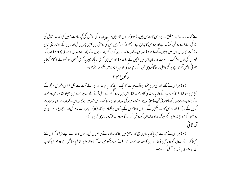لئے کہ خداوند خدا قادر مطلق اور برہ اس کامقدس بیں۔(۲۳)اوراس شہر میں سورج پا جاند کی روشنی کی تحییہ حاجت نہیں کیونکہ خدا تعالی کی بزر گی نے اسے روشن کررکھاہے اور برہ اس کا حیراغ ہے۔ (۲۴) اور قومیں اس کی روشنی میں چلیں پھریں گی اور زمین کے بادشاہ اپنی شان وشوکت کا سامان اس میں لائنیں گے ۔( ۴۵ ) اوراس کے دروازے دن کو ہر گز بند نہ ہوں گے (اور رات وہاں نہ ہو گی )( ۲ ۲ ) اور لوگ قوموں کی شان وشوکت اور عزت کا سامان اس میں لائیں گے ۔(۲۷) اوراس میں کوئی ناپاک چیز یا کوئی شخص حبوٹھنونے کا کام کرتا یا جھوٹی یا تیں گھڑ تاہے ہر گز داخل نہ ہو گامگروہی <sup>ج</sup>ن کے نام برہ کی کتاب *حی*ات میں لکھے ہوئے بی<sub>ں</sub>۔ ر کوع ۲۲

(۱) بھر اس نے مجھے بلور کی طرح حیمکتا ہواآپ حیات کا ایک دریا دکھادیاحوخدااور برہ کے تخت سے لکل کراس شہر کی سڑک کے بیچ میں بہتا تھا۔ ( ۲ )اور دریا کے واریار زند گی کا درخت تھا۔ اس میں بارہ قسم کے پھل آتے تھے اور ہر مہینے میں پھیلتا تھا اور اس درخت کے پتوں سے قوموں کو شفا ہو تی تھی۔(۳) اور پھر لعنت نہ ہو گی اور خدااور برہ کا تخت اس شہر میں ہوگا اوراس کے بندے اس کوعمادت کریں گے ۔ ( مہ) اور وہ اس کامنہ دیکھیں گے اوراس کا نام ان کے باتھوں پرلکھا ہواہو گا۔ ( ۵ )اور پھر رات نہ ہو گی اور وہ جراع اور سورج کی روشنی کے محتاج نہ ہوں گے کیونکہ خداوند خداان کوروشن کرے گا اور وہ اید الاآباد یادشاہی کریں گے۔ سم .<br>آمد ثا في

( ۲ ) پھر اس نے مجھ سے فرما یا کہ یہ باتیں سچ اور برحق بیں چنانچہ خداوند نے حو نبیوں کی روحوں کا خدا ہے اپنے فرشتہ کواس لئے بھیجا کہ اپنے بندوں کووہ پاتیں دکھانے حن کا جلد ہوناصرور ہے۔ (ے) اور دیکھو میں جلد آنےوالا ہوں۔ قابل ستائش ہےوہ حواس کتاب کی نبوت کی ما نوں پر عمل کرتاہے۔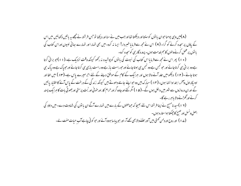( ۸ )میں ویپی یوحناحوان یا نوں کوسنتا اور دیکھتا تھا اور حب میں نے سنا اور دیکھا نو حس فرشتہ نے مجھے یہ پاتیں دکھائیں میں اس کے پاؤں پر سجدہ کرنے کو گرا۔ ( ۹ ) اس نے مجھ سے فرمایا خسر دار! ایسا نہ کرو۔ میں بھی تہارا اور تہارے بھائی نبیوں اوراس کتاب کی یا نوں پر عمل کرنے والوں کا ہم خدمت ہوں۔ پرورد گار ہی کوسحدہ کرو۔

(۱۰) پھر اس نے مجھ سے فرمایا اس کتاب کی نبوت کی با توں کو پوشیدہ نہ رکھو کیونکہ وقت نزدیک ہے۔(۱۱)جو برائی کرتا ہے وہ برائی ہی کرتا جائے اور حبو نحس ہے وہ نحس ہی ہوتا جائے اور حبوراست باز ہے وہ راست بازی ہی کرتا جائے اور حبویاک ہے وہ پاک ہی ہوتا جائے ۔(۱۲) دیکھو میں جلد آنے والا ہوں اور ہرایک کے کام کے موافق دینے کے لئے احر میرے پاس ہے۔(۱۳) میں الفا اور اومیگا،اول وآخر، ابتداوانتہا ہوں۔(۱۴) مبارک ہیں وہ حواپنے جامے دھوتے ہیں کیونکہ زند گی کے درخت کے پاس آنے کااختبار پائیں گے اوران دروازوں سے شہر میں داخل ہوں گے ۔ ( ۵ ۱ ) مگر کتے اورجادو گر اور حرام کار اورخو فی اور <sup>م</sup>بت پرستی اورجھو ٹی بات کا ہرایک پسند کرنے اور گھڑنے والا پاہر رہے گا۔

(۱۲)سید نامسیح نے اپنا فرشتہ اس لئے بھیجا کہ حماعتوں کے بارے میں تہارے آگے ان یا نوں کی شہادت دے۔ میں داؤد کی اصل ونسل اورضسح کا حجیکتا ہوا ستارہ ہوں۔

(ے ۱ ) اور روح اور دلہن کھتی، بیں آاور سننے والا بھی کھے آ۔اور حبو پیاسا ہووہ آئے اور حبو کو ٹی چاہے آب حبات مفت لے۔